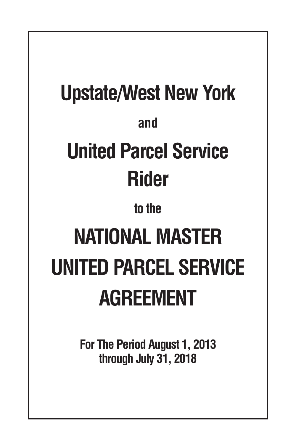# **Upstate/West New York and United Parcel Service Rider to the NATIONAL MASTER UNITED PARCEL SERVICE AGREEMENT**

**For The Period August 1, 2013 through July 31, 2018**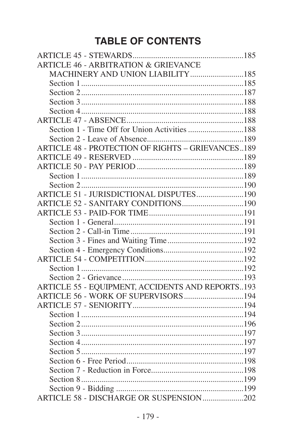# **TABLE OF CONTENTS**

| <b>ARTICLE 46 - ARBITRATION &amp; GRIEVANCE</b>          |  |
|----------------------------------------------------------|--|
| MACHINERY AND UNION LIABILITY 185                        |  |
|                                                          |  |
|                                                          |  |
|                                                          |  |
|                                                          |  |
|                                                          |  |
| Section 1 - Time Off for Union Activities 188            |  |
|                                                          |  |
| <b>ARTICLE 48 - PROTECTION OF RIGHTS - GRIEVANCES189</b> |  |
|                                                          |  |
|                                                          |  |
|                                                          |  |
|                                                          |  |
| ARTICLE 51 - JURISDICTIONAL DISPUTES190                  |  |
|                                                          |  |
|                                                          |  |
|                                                          |  |
|                                                          |  |
|                                                          |  |
|                                                          |  |
|                                                          |  |
|                                                          |  |
|                                                          |  |
| ARTICLE 55 - EQUIPMENT, ACCIDENTS AND REPORTS193         |  |
| ARTICLE 56 - WORK OF SUPERVISORS194                      |  |
|                                                          |  |
|                                                          |  |
|                                                          |  |
|                                                          |  |
|                                                          |  |
|                                                          |  |
|                                                          |  |
|                                                          |  |
|                                                          |  |
|                                                          |  |
| ARTICLE 58 - DISCHARGE OR SUSPENSION202                  |  |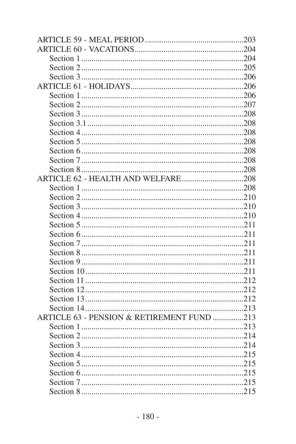| ARTICLE 63 - PENSION & RETIREMENT FUND 213 |  |
|--------------------------------------------|--|
|                                            |  |
|                                            |  |
|                                            |  |
|                                            |  |
|                                            |  |
|                                            |  |
|                                            |  |
|                                            |  |
|                                            |  |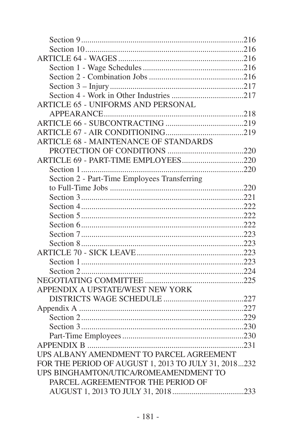| <b>ARTICLE 65 - UNIFORMS AND PERSONAL</b>            |  |
|------------------------------------------------------|--|
|                                                      |  |
|                                                      |  |
|                                                      |  |
| ARTICLE 68 - MAINTENANCE OF STANDARDS                |  |
|                                                      |  |
|                                                      |  |
|                                                      |  |
| Section 2 - Part-Time Employees Transferring         |  |
|                                                      |  |
|                                                      |  |
|                                                      |  |
|                                                      |  |
|                                                      |  |
|                                                      |  |
|                                                      |  |
|                                                      |  |
|                                                      |  |
|                                                      |  |
|                                                      |  |
| APPENDIX A UPSTATE/WEST NEW YORK                     |  |
|                                                      |  |
|                                                      |  |
|                                                      |  |
|                                                      |  |
|                                                      |  |
|                                                      |  |
| UPS ALBANY AMENDMENT TO PARCEL AGREEMENT             |  |
| FOR THE PERIOD OF AUGUST 1, 2013 TO JULY 31, 2018232 |  |
| UPS BINGHAMTON/UTICA/ROMEAMENDMENT TO                |  |
| PARCEL AGREEMENTFOR THE PERIOD OF                    |  |
|                                                      |  |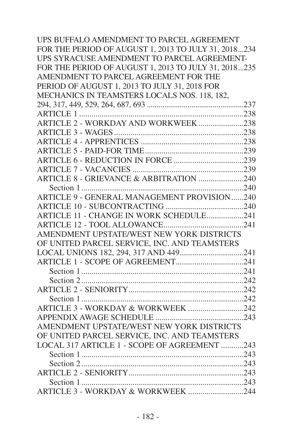| UPS BUFFALO AMENDMENT TO PARCEL AGREEMENT            |  |
|------------------------------------------------------|--|
| FOR THE PERIOD OF AUGUST 1, 2013 TO JULY 31, 2018234 |  |
| UPS SYRACUSE AMENDMENT TO PARCEL AGREEMENT-          |  |
| FOR THE PERIOD OF AUGUST 1, 2013 TO JULY 31, 2018235 |  |
| AMENDMENT TO PARCEL AGREEMENT FOR THE                |  |
| PERIOD OF AUGUST 1, 2013 TO JULY 31, 2018 FOR        |  |
| MECHANICS IN TEAMSTERS LOCALS NOS. 118, 182.         |  |
|                                                      |  |
|                                                      |  |
| ARTICLE 2 - WORKDAY AND WORKWEEK238                  |  |
|                                                      |  |
|                                                      |  |
|                                                      |  |
|                                                      |  |
|                                                      |  |
| ARTICLE 8 - GRIEVANCE & ARBITRATION 240              |  |
|                                                      |  |
| ARTICLE 9 - GENERAL MANAGEMENT PROVISION240          |  |
|                                                      |  |
| ARTICLE 11 - CHANGE IN WORK SCHEDULE241              |  |
|                                                      |  |
| AMENDMENT UPSTATE/WEST NEW YORK DISTRICTS            |  |
| OF UNITED PARCEL SERVICE. INC. AND TEAMSTERS         |  |
| LOCAL UNIONS 182, 294, 317 AND 449241                |  |
|                                                      |  |
|                                                      |  |
|                                                      |  |
|                                                      |  |
|                                                      |  |
| ARTICLE 3 - WORKDAY & WORKWEEK 242                   |  |
|                                                      |  |
| AMENDMENT UPSTATE/WEST NEW YORK DISTRICTS            |  |
| OF UNITED PARCEL SERVICE, INC. AND TEAMSTERS         |  |
| LOCAL 317 ARTICLE 1 - SCOPE OF AGREEMENT 243         |  |
|                                                      |  |
|                                                      |  |
|                                                      |  |
|                                                      |  |
| ARTICLE 3 - WORKDAY & WORKWEEK 244                   |  |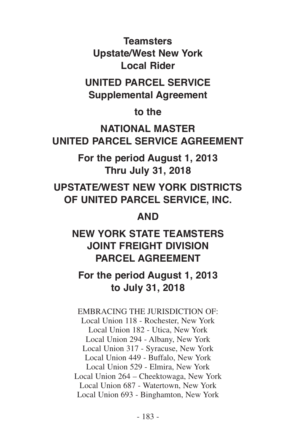**Teamsters Upstate/West New York Local Rider**

**UNITED PARCEL SERVICE Supplemental Agreement**

**to the**

**NATIONAL MASTER UNITED PARCEL SERVICE AGREEMENT**

> **For the period August 1, 2013 Thru July 31, 2018**

**UPSTATE/WEST NEW YORK DISTRICTS OF UNITED PARCEL SERVICE, INC.**

**AND**

# **NEW YORK STATE TEAMSTERS JOINT FREIGHT DIVISION PARCEL AGREEMENT**

# **For the period August 1, 2013 to July 31, 2018**

EMBRACING THE JURISDICTION OF: Local Union 118 - Rochester, New York Local Union 182 - Utica, New York Local Union 294 - Albany, New York Local Union 317 - Syracuse, New York Local Union 449 - Buffalo, New York Local Union 529 - Elmira, New York Local Union 264 – Cheektowaga, New York Local Union 687 - Watertown, New York Local Union 693 - Binghamton, New York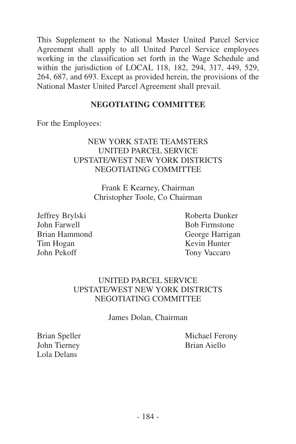This Supplement to the National Master United Parcel Service Agreement shall apply to all United Parcel Service employees working in the classification set forth in the Wage Schedule and within the jurisdiction of LOCAL 118, 182, 294, 317, 449, 529, 264, 687, and 693. Except as provided herein, the provisions of the National Master United Parcel Agreement shall prevail.

#### **NEGOTIATING COMMITTEE**

For the Employees:

#### NEW YORK STATE TEAMSTERS UNITED PARCEL SERVICE UPSTATE/WEST NEW YORK DISTRICTS NEGOTIATING COMMITTEE

Frank E Kearney, Chairman Christopher Toole, Co Chairman

Jeffrey Brylski Roberta Dunker John Farwell Bob Firmstone Brian Hammond George Harrigan Tim Hogan Kevin Hunter John Pekoff Tony Vaccaro

#### UNITED PARCEL SERVICE UPSTATE/WEST NEW YORK DISTRICTS NEGOTIATING COMMITTEE

James Dolan, Chairman

John Tierney Brian Aiello Lola Delans

Brian Speller Michael Ferony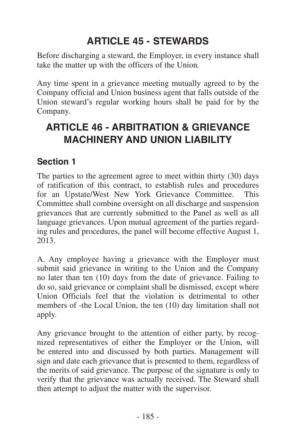# **ARTICLE 45 - STEWARDS**

<span id="page-8-0"></span>Before discharging a steward, the Employer, in every instance shall take the matter up with the officers of the Union.

Any time spent in a grievance meeting mutually agreed to by the Company official and Union business agent that falls outside of the Union steward's regular working hours shall be paid for by the Company.

# **ARTICLE 46 - ARBITRATION & GRIEVANCE MACHINERY AND UNION LIABILITY**

#### **Section 1**

The parties to the agreement agree to meet within thirty (30) days of ratification of this contract, to establish rules and procedures for an Upstate/West New York Grievance Committee. This Committee shall combine oversight on all discharge and suspension grievances that are currently submitted to the Panel as well as all language grievances. Upon mutual agreement of the parties regarding rules and procedures, the panel will become effective August 1, 2013.

A. Any employee having a grievance with the Employer must submit said grievance in writing to the Union and the Company no later than ten (10) days from the date of grievance. Failing to do so, said grievance or complaint shall be dismissed, except where Union Officials feel that the violation is detrimental to other members of -the Local Union, the ten (10) day limitation shall not apply.

Any grievance brought to the attention of either party, by recognized representatives of either the Employer or the Union, will be entered into and discussed by both parties. Management will sign and date each grievance that is presented to them, regardless of the merits of said grievance. The purpose of the signature is only to verify that the grievance was actually received. The Steward shall then attempt to adjust the matter with the supervisor.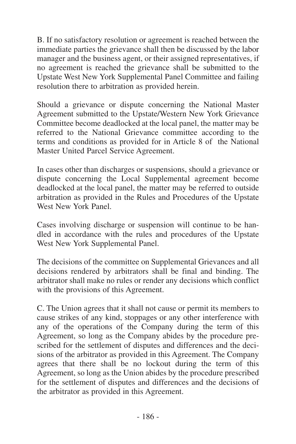B. If no satisfactory resolution or agreement is reached between the immediate parties the grievance shall then be discussed by the labor manager and the business agent, or their assigned representatives, if no agreement is reached the grievance shall be submitted to the Upstate West New York Supplemental Panel Committee and failing resolution there to arbitration as provided herein.

Should a grievance or dispute concerning the National Master Agreement submitted to the Upstate/Western New York Grievance Committee become deadlocked at the local panel, the matter may be referred to the National Grievance committee according to the terms and conditions as provided for in Article 8 of the National Master United Parcel Service Agreement.

In cases other than discharges or suspensions, should a grievance or dispute concerning the Local Supplemental agreement become deadlocked at the local panel, the matter may be referred to outside arbitration as provided in the Rules and Procedures of the Upstate West New York Panel.

Cases involving discharge or suspension will continue to be handled in accordance with the rules and procedures of the Upstate West New York Supplemental Panel.

The decisions of the committee on Supplemental Grievances and all decisions rendered by arbitrators shall be final and binding. The arbitrator shall make no rules or render any decisions which conflict with the provisions of this Agreement.

C. The Union agrees that it shall not cause or permit its members to cause strikes of any kind, stoppages or any other interference with any of the operations of the Company during the term of this Agreement, so long as the Company abides by the procedure prescribed for the settlement of disputes and differences and the decisions of the arbitrator as provided in this Agreement. The Company agrees that there shall be no lockout during the term of this Agreement, so long as the Union abides by the procedure prescribed for the settlement of disputes and differences and the decisions of the arbitrator as provided in this Agreement.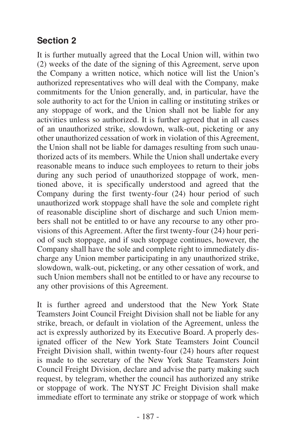#### <span id="page-10-0"></span>**Section 2**

It is further mutually agreed that the Local Union will, within two (2) weeks of the date of the signing of this Agreement, serve upon the Company a written notice, which notice will list the Union's authorized representatives who will deal with the Company, make commitments for the Union generally, and, in particular, have the sole authority to act for the Union in calling or instituting strikes or any stoppage of work, and the Union shall not be liable for any activities unless so authorized. It is further agreed that in all cases of an unauthorized strike, slowdown, walk-out, picketing or any other unauthorized cessation of work in violation of this Agreement, the Union shall not be liable for damages resulting from such unauthorized acts of its members. While the Union shall undertake every reasonable means to induce such employees to return to their jobs during any such period of unauthorized stoppage of work, mentioned above, it is specifically understood and agreed that the Company during the first twenty-four (24) hour period of such unauthorized work stoppage shall have the sole and complete right of reasonable discipline short of discharge and such Union members shall not be entitled to or have any recourse to any other provisions of this Agreement. After the first twenty-four (24) hour period of such stoppage, and if such stoppage continues, however, the Company shall have the sole and complete right to immediately discharge any Union member participating in any unauthorized strike, slowdown, walk-out, picketing, or any other cessation of work, and such Union members shall not be entitled to or have any recourse to any other provisions of this Agreement.

It is further agreed and understood that the New York State Teamsters Joint Council Freight Division shall not be liable for any strike, breach, or default in violation of the Agreement, unless the act is expressly authorized by its Executive Board. A properly designated officer of the New York State Teamsters Joint Council Freight Division shall, within twenty-four (24) hours after request is made to the secretary of the New York State Teamsters Joint Council Freight Division, declare and advise the party making such request, by telegram, whether the council has authorized any strike or stoppage of work. The NYST JC Freight Division shall make immediate effort to terminate any strike or stoppage of work which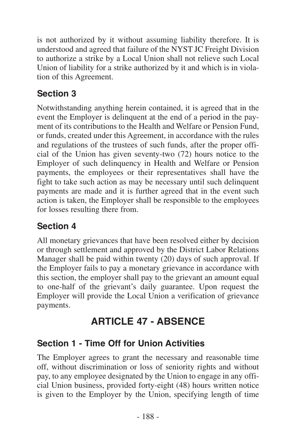<span id="page-11-0"></span>is not authorized by it without assuming liability therefore. It is understood and agreed that failure of the NYST JC Freight Division to authorize a strike by a Local Union shall not relieve such Local Union of liability for a strike authorized by it and which is in violation of this Agreement.

## **Section 3**

Notwithstanding anything herein contained, it is agreed that in the event the Employer is delinquent at the end of a period in the payment of its contributions to the Health and Welfare or Pension Fund, or funds, created under this Agreement, in accordance with the rules and regulations of the trustees of such funds, after the proper official of the Union has given seventy-two (72) hours notice to the Employer of such delinquency in Health and Welfare or Pension payments, the employees or their representatives shall have the fight to take such action as may be necessary until such delinquent payments are made and it is further agreed that in the event such action is taken, the Employer shall be responsible to the employees for losses resulting there from.

## **Section 4**

All monetary grievances that have been resolved either by decision or through settlement and approved by the District Labor Relations Manager shall be paid within twenty (20) days of such approval. If the Employer fails to pay a monetary grievance in accordance with this section, the employer shall pay to the grievant an amount equal to one-half of the grievant's daily guarantee. Upon request the Employer will provide the Local Union a verification of grievance payments.

# **ARTICLE 47 - ABSENCE**

## **Section 1 - Time Off for Union Activities**

The Employer agrees to grant the necessary and reasonable time off, without discrimination or loss of seniority rights and without pay, to any employee designated by the Union to engage in any official Union business, provided forty-eight (48) hours written notice is given to the Employer by the Union, specifying length of time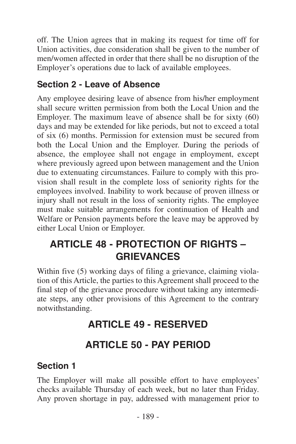<span id="page-12-0"></span>off. The Union agrees that in making its request for time off for Union activities, due consideration shall be given to the number of men/women affected in order that there shall be no disruption of the Employer's operations due to lack of available employees.

#### **Section 2 - Leave of Absence**

Any employee desiring leave of absence from his/her employment shall secure written permission from both the Local Union and the Employer. The maximum leave of absence shall be for sixty (60) days and may be extended for like periods, but not to exceed a total of six (6) months. Permission for extension must be secured from both the Local Union and the Employer. During the periods of absence, the employee shall not engage in employment, except where previously agreed upon between management and the Union due to extenuating circumstances. Failure to comply with this provision shall result in the complete loss of seniority rights for the employees involved. Inability to work because of proven illness or injury shall not result in the loss of seniority rights. The employee must make suitable arrangements for continuation of Health and Welfare or Pension payments before the leave may be approved by either Local Union or Employer.

# **ARTICLE 48 - PROTECTION OF RIGHTS – GRIEVANCES**

Within five (5) working days of filing a grievance, claiming violation of this Article, the parties to this Agreement shall proceed to the final step of the grievance procedure without taking any intermediate steps, any other provisions of this Agreement to the contrary notwithstanding.

# **ARTICLE 49 - RESERVED**

# **ARTICLE 50 - PAY PERIOD**

#### **Section 1**

The Employer will make all possible effort to have employees' checks available Thursday of each week, but no later than Friday. Any proven shortage in pay, addressed with management prior to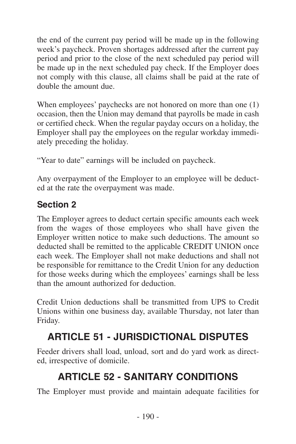<span id="page-13-0"></span>the end of the current pay period will be made up in the following week's paycheck. Proven shortages addressed after the current pay period and prior to the close of the next scheduled pay period will be made up in the next scheduled pay check. If the Employer does not comply with this clause, all claims shall be paid at the rate of double the amount due.

When employees' paychecks are not honored on more than one  $(1)$ occasion, then the Union may demand that payrolls be made in cash or certified check. When the regular payday occurs on a holiday, the Employer shall pay the employees on the regular workday immediately preceding the holiday.

"Year to date" earnings will be included on paycheck.

Any overpayment of the Employer to an employee will be deducted at the rate the overpayment was made.

#### **Section 2**

The Employer agrees to deduct certain specific amounts each week from the wages of those employees who shall have given the Employer written notice to make such deductions. The amount so deducted shall be remitted to the applicable CREDIT UNION once each week. The Employer shall not make deductions and shall not be responsible for remittance to the Credit Union for any deduction for those weeks during which the employees' earnings shall be less than the amount authorized for deduction.

Credit Union deductions shall be transmitted from UPS to Credit Unions within one business day, available Thursday, not later than Friday.

# **ARTICLE 51 - JURISDICTIONAL DISPUTES**

Feeder drivers shall load, unload, sort and do yard work as directed, irrespective of domicile.

# **ARTICLE 52 - SANITARY CONDITIONS**

The Employer must provide and maintain adequate facilities for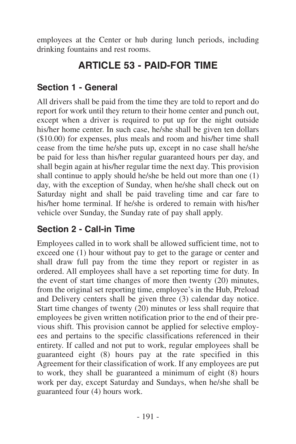<span id="page-14-0"></span>employees at the Center or hub during lunch periods, including drinking fountains and rest rooms.

# **ARTICLE 53 - PAID-FOR TIME**

#### **Section 1 - General**

All drivers shall be paid from the time they are told to report and do report for work until they return to their home center and punch out, except when a driver is required to put up for the night outside his/her home center. In such case, he/she shall be given ten dollars (\$10.00) for expenses, plus meals and room and his/her time shall cease from the time he/she puts up, except in no case shall he/she be paid for less than his/her regular guaranteed hours per day, and shall begin again at his/her regular time the next day. This provision shall continue to apply should he/she be held out more than one (1) day, with the exception of Sunday, when he/she shall check out on Saturday night and shall be paid traveling time and car fare to his/her home terminal. If he/she is ordered to remain with his/her vehicle over Sunday, the Sunday rate of pay shall apply.

#### **Section 2 - Call-in Time**

Employees called in to work shall be allowed sufficient time, not to exceed one (1) hour without pay to get to the garage or center and shall draw full pay from the time they report or register in as ordered. All employees shall have a set reporting time for duty. In the event of start time changes of more then twenty (20) minutes, from the original set reporting time, employee's in the Hub, Preload and Delivery centers shall be given three (3) calendar day notice. Start time changes of twenty (20) minutes or less shall require that employees be given written notification prior to the end of their previous shift. This provision cannot be applied for selective employees and pertains to the specific classifications referenced in their entirety. If called and not put to work, regular employees shall be guaranteed eight (8) hours pay at the rate specified in this Agreement for their classification of work. If any employees are put to work, they shall be guaranteed a minimum of eight (8) hours work per day, except Saturday and Sundays, when he/she shall be guaranteed four (4) hours work.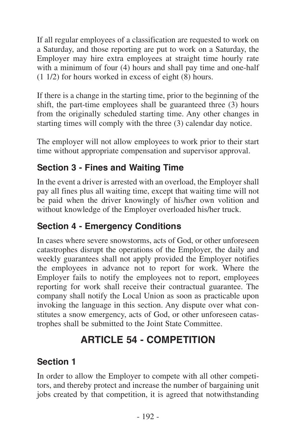<span id="page-15-0"></span>If all regular employees of a classification are requested to work on a Saturday, and those reporting are put to work on a Saturday, the Employer may hire extra employees at straight time hourly rate with a minimum of four (4) hours and shall pay time and one-half (1 1/2) for hours worked in excess of eight (8) hours.

If there is a change in the starting time, prior to the beginning of the shift, the part-time employees shall be guaranteed three (3) hours from the originally scheduled starting time. Any other changes in starting times will comply with the three (3) calendar day notice.

The employer will not allow employees to work prior to their start time without appropriate compensation and supervisor approval.

#### **Section 3 - Fines and Waiting Time**

In the event a driver is arrested with an overload, the Employer shall pay all fines plus all waiting time, except that waiting time will not be paid when the driver knowingly of his/her own volition and without knowledge of the Employer overloaded his/her truck.

#### **Section 4 - Emergency Conditions**

In cases where severe snowstorms, acts of God, or other unforeseen catastrophes disrupt the operations of the Employer, the daily and weekly guarantees shall not apply provided the Employer notifies the employees in advance not to report for work. Where the Employer fails to notify the employees not to report, employees reporting for work shall receive their contractual guarantee. The company shall notify the Local Union as soon as practicable upon invoking the language in this section. Any dispute over what constitutes a snow emergency, acts of God, or other unforeseen catastrophes shall be submitted to the Joint State Committee.

# **ARTICLE 54 - COMPETITION**

#### **Section 1**

In order to allow the Employer to compete with all other competitors, and thereby protect and increase the number of bargaining unit jobs created by that competition, it is agreed that notwithstanding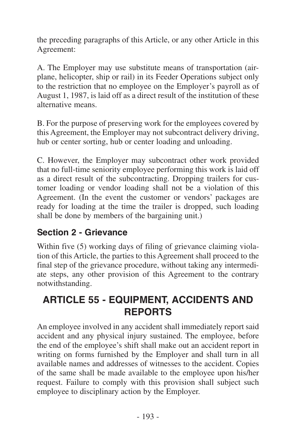<span id="page-16-0"></span>the preceding paragraphs of this Article, or any other Article in this Agreement:

A. The Employer may use substitute means of transportation (airplane, helicopter, ship or rail) in its Feeder Operations subject only to the restriction that no employee on the Employer's payroll as of August 1, 1987, is laid off as a direct result of the institution of these alternative means.

B. For the purpose of preserving work for the employees covered by this Agreement, the Employer may not subcontract delivery driving, hub or center sorting, hub or center loading and unloading.

C. However, the Employer may subcontract other work provided that no full-time seniority employee performing this work is laid off as a direct result of the subcontracting. Dropping trailers for customer loading or vendor loading shall not be a violation of this Agreement. (In the event the customer or vendors' packages are ready for loading at the time the trailer is dropped, such loading shall be done by members of the bargaining unit.)

#### **Section 2 - Grievance**

Within five (5) working days of filing of grievance claiming violation of this Article, the parties to this Agreement shall proceed to the final step of the grievance procedure, without taking any intermediate steps, any other provision of this Agreement to the contrary notwithstanding.

# **ARTICLE 55 - EQUIPMENT, ACCIDENTS AND REPORTS**

An employee involved in any accident shall immediately report said accident and any physical injury sustained. The employee, before the end of the employee's shift shall make out an accident report in writing on forms furnished by the Employer and shall turn in all available names and addresses of witnesses to the accident. Copies of the same shall be made available to the employee upon his/her request. Failure to comply with this provision shall subject such employee to disciplinary action by the Employer.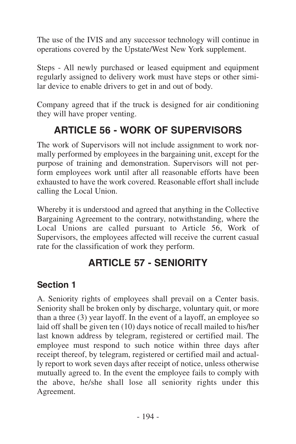<span id="page-17-0"></span>The use of the IVIS and any successor technology will continue in operations covered by the Upstate/West New York supplement.

Steps - All newly purchased or leased equipment and equipment regularly assigned to delivery work must have steps or other similar device to enable drivers to get in and out of body.

Company agreed that if the truck is designed for air conditioning they will have proper venting.

# **ARTICLE 56 - WORK OF SUPERVISORS**

The work of Supervisors will not include assignment to work normally performed by employees in the bargaining unit, except for the purpose of training and demonstration. Supervisors will not perform employees work until after all reasonable efforts have been exhausted to have the work covered. Reasonable effort shall include calling the Local Union.

Whereby it is understood and agreed that anything in the Collective Bargaining Agreement to the contrary, notwithstanding, where the Local Unions are called pursuant to Article 56, Work of Supervisors, the employees affected will receive the current casual rate for the classification of work they perform.

## **ARTICLE 57 - SENIORITY**

#### **Section 1**

A. Seniority rights of employees shall prevail on a Center basis. Seniority shall be broken only by discharge, voluntary quit, or more than a three (3) year layoff. In the event of a layoff, an employee so laid off shall be given ten (10) days notice of recall mailed to his/her last known address by telegram, registered or certified mail. The employee must respond to such notice within three days after receipt thereof, by telegram, registered or certified mail and actually report to work seven days after receipt of notice, unless otherwise mutually agreed to. In the event the employee fails to comply with the above, he/she shall lose all seniority rights under this Agreement.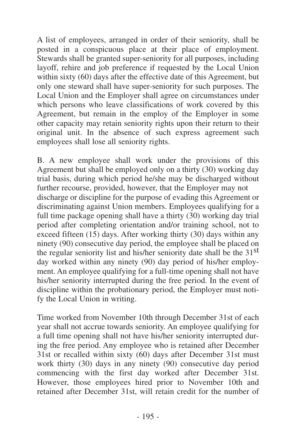A list of employees, arranged in order of their seniority, shall be posted in a conspicuous place at their place of employment. Stewards shall be granted super-seniority for all purposes, including layoff, rehire and job preference if requested by the Local Union within sixty (60) days after the effective date of this Agreement, but only one steward shall have super-seniority for such purposes. The Local Union and the Employer shall agree on circumstances under which persons who leave classifications of work covered by this Agreement, but remain in the employ of the Employer in some other capacity may retain seniority rights upon their return to their original unit. In the absence of such express agreement such employees shall lose all seniority rights.

B. A new employee shall work under the provisions of this Agreement but shall be employed only on a thirty (30) working day trial basis, during which period he/she may be discharged without further recourse, provided, however, that the Employer may not discharge or discipline for the purpose of evading this Agreement or discriminating against Union members. Employees qualifying for a full time package opening shall have a thirty  $(30)$  working day trial period after completing orientation and/or training school, not to exceed fifteen  $(15)$  days. After working thirty  $(30)$  days within any ninety (90) consecutive day period, the employee shall be placed on the regular seniority list and his/her seniority date shall be the 31st day worked within any ninety (90) day period of his/her employment. An employee qualifying for a full-time opening shall not have his/her seniority interrupted during the free period. In the event of discipline within the probationary period, the Employer must notify the Local Union in writing.

Time worked from November 10th through December 31st of each year shall not accrue towards seniority. An employee qualifying for a full time opening shall not have his/her seniority interrupted during the free period. Any employee who is retained after December  $31$ st or recalled within sixty (60) days after December 31st must work thirty (30) days in any ninety (90) consecutive day period commencing with the first day worked after December 31st. However, those employees hired prior to November 10th and retained after December 31st, will retain credit for the number of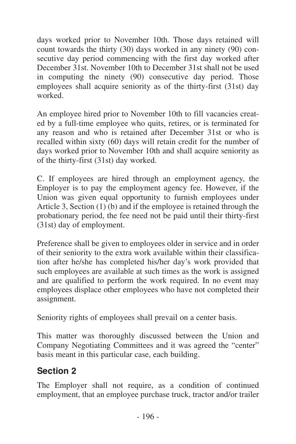<span id="page-19-0"></span>days worked prior to November 10th. Those days retained will count towards the thirty (30) days worked in any ninety (90) consecutive day period commencing with the first day worked after December 31st. November 10th to December 31st shall not be used in computing the ninety (90) consecutive day period. Those employees shall acquire seniority as of the thirty-first (31st) day worked.

An employee hired prior to November 10th to fill vacancies created by a full-time employee who quits, retires, or is terminated for any reason and who is retained after December 31st or who is recalled within sixty (60) days will retain credit for the number of days worked prior to November 10th and shall acquire seniority as of the thirty-first (31st) day worked.

C. If employees are hired through an employment agency, the Employer is to pay the employment agency fee. However, if the Union was given equal opportunity to furnish employees under Article 3, Section  $(1)$  (b) and if the employee is retained through the probationary period, the fee need not be paid until their thirty-first (31st) day of employment.

Preference shall be given to employees older in service and in order of their seniority to the extra work available within their classification after he/she has completed his/her day's work provided that such employees are available at such times as the work is assigned and are qualified to perform the work required. In no event may employees displace other employees who have not completed their assignment.

Seniority rights of employees shall prevail on a center basis.

This matter was thoroughly discussed between the Union and Company Negotiating Committees and it was agreed the "center" basis meant in this particular case, each building.

#### **Section 2**

The Employer shall not require, as a condition of continued employment, that an employee purchase truck, tractor and/or trailer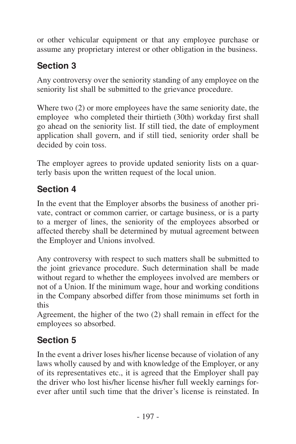<span id="page-20-0"></span>or other vehicular equipment or that any employee purchase or assume any proprietary interest or other obligation in the business.

# **Section 3**

Any controversy over the seniority standing of any employee on the seniority list shall be submitted to the grievance procedure.

Where two (2) or more employees have the same seniority date, the employee who completed their thirtieth (30th) workday first shall go ahead on the seniority list. If still tied, the date of employment application shall govern, and if still tied, seniority order shall be decided by coin toss.

The employer agrees to provide updated seniority lists on a quarterly basis upon the written request of the local union.

#### **Section 4**

In the event that the Employer absorbs the business of another private, contract or common carrier, or cartage business, or is a party to a merger of lines, the seniority of the employees absorbed or affected thereby shall be determined by mutual agreement between the Employer and Unions involved.

Any controversy with respect to such matters shall be submitted to the joint grievance procedure. Such determination shall be made without regard to whether the employees involved are members or not of a Union. If the minimum wage, hour and working conditions in the Company absorbed differ from those minimums set forth in this

Agreement, the higher of the two (2) shall remain in effect for the employees so absorbed.

## **Section 5**

In the event a driver loses his/her license because of violation of any laws wholly caused by and with knowledge of the Employer, or any of its representatives etc., it is agreed that the Employer shall pay the driver who lost his/her license his/her full weekly earnings forever after until such time that the driver's license is reinstated. In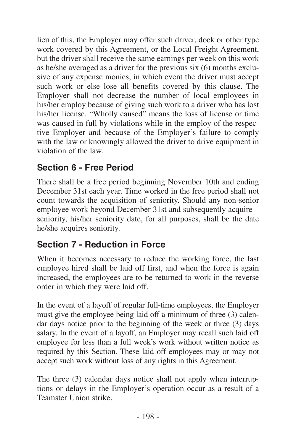<span id="page-21-0"></span>lieu of this, the Employer may offer such driver, dock or other type work covered by this Agreement, or the Local Freight Agreement, but the driver shall receive the same earnings per week on this work as he/she averaged as a driver for the previous six (6) months exclusive of any expense monies, in which event the driver must accept such work or else lose all benefits covered by this clause. The Employer shall not decrease the number of local employees in his/her employ because of giving such work to a driver who has lost his/her license. "Wholly caused" means the loss of license or time was caused in full by violations while in the employ of the respective Employer and because of the Employer's failure to comply with the law or knowingly allowed the driver to drive equipment in violation of the law.

#### **Section 6 - Free Period**

There shall be a free period beginning November 10th and ending December 31st each year. Time worked in the free period shall not count towards the acquisition of seniority. Should any non-senior employee work beyond December 31st and subsequently acquire seniority, his/her seniority date, for all purposes, shall be the date he/she acquires seniority.

#### **Section 7 - Reduction in Force**

When it becomes necessary to reduce the working force, the last employee hired shall be laid off first, and when the force is again increased, the employees are to be returned to work in the reverse order in which they were laid off.

In the event of a layoff of regular full-time employees, the Employer must give the employee being laid off a minimum of three (3) calendar days notice prior to the beginning of the week or three (3) days salary. In the event of a layoff, an Employer may recall such laid off employee for less than a full week's work without written notice as required by this Section. These laid off employees may or may not accept such work without loss of any rights in this Agreement.

The three (3) calendar days notice shall not apply when interruptions or delays in the Employer's operation occur as a result of a Teamster Union strike.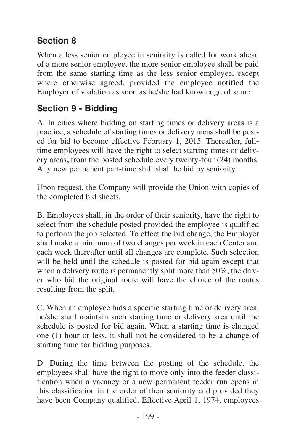## <span id="page-22-0"></span>**Section 8**

When a less senior employee in seniority is called for work ahead of a more senior employee, the more senior employee shall be paid from the same starting time as the less senior employee, except where otherwise agreed, provided the employee notified the Employer of violation as soon as he/she had knowledge of same.

#### **Section 9 - Bidding**

A. In cities where bidding on starting times or delivery areas is a practice, a schedule of starting times or delivery areas shall be posted for bid to become effective February 1, 2015. Thereafter, fulltime employees will have the right to select starting times or delivery areas**,** from the posted schedule every twenty-four (24) months. Any new permanent part-time shift shall be bid by seniority.

Upon request, the Company will provide the Union with copies of the completed bid sheets.

B. Employees shall, in the order of their seniority, have the right to select from the schedule posted provided the employee is qualified to perform the job selected. To effect the bid change, the Employer shall make a minimum of two changes per week in each Center and each week thereafter until all changes are complete. Such selection will be held until the schedule is posted for bid again except that when a delivery route is permanently split more than 50%, the driver who bid the original route will have the choice of the routes resulting from the split.

C. When an employee bids a specific starting time or delivery area, he/she shall maintain such starting time or delivery area until the schedule is posted for bid again. When a starting time is changed one (1) hour or less, it shall not be considered to be a change of starting time for bidding purposes.

D. During the time between the posting of the schedule, the employees shall have the right to move only into the feeder classification when a vacancy or a new permanent feeder run opens in this classification in the order of their seniority and provided they have been Company qualified. Effective April 1, 1974, employees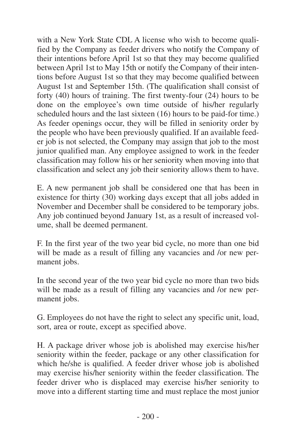with a New York State CDL A license who wish to become qualified by the Company as feeder drivers who notify the Company of their intentions before April 1st so that they may become qualified between April 1st to May 15th or notify the Company of their intentions before August 1st so that they may become qualified between August 1st and September 15th. (The qualification shall consist of forty (40) hours of training. The first twenty-four (24) hours to be done on the employee's own time outside of his/her regularly scheduled hours and the last sixteen (16) hours to be paid-for time.) As feeder openings occur, they will be filled in seniority order by the people who have been previously qualified. If an available feeder job is not selected, the Company may assign that job to the most junior qualified man. Any employee assigned to work in the feeder classification may follow his or her seniority when moving into that classification and select any job their seniority allows them to have.

E. A new permanent job shall be considered one that has been in existence for thirty (30) working days except that all jobs added in November and December shall be considered to be temporary jobs. Any job continued beyond January 1st, as a result of increased volume, shall be deemed permanent.

F. In the first year of the two year bid cycle, no more than one bid will be made as a result of filling any vacancies and /or new permanent jobs.

In the second year of the two year bid cycle no more than two bids will be made as a result of filling any vacancies and /or new permanent jobs.

G. Employees do not have the right to select any specific unit, load, sort, area or route, except as specified above.

H. A package driver whose job is abolished may exercise his/her seniority within the feeder, package or any other classification for which he/she is qualified. A feeder driver whose job is abolished may exercise his/her seniority within the feeder classification. The feeder driver who is displaced may exercise his/her seniority to move into a different starting time and must replace the most junior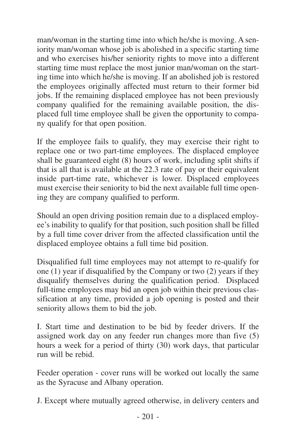man/woman in the starting time into which he/she is moving. A seniority man/woman whose job is abolished in a specific starting time and who exercises his/her seniority rights to move into a different starting time must replace the most junior man/woman on the starting time into which he/she is moving. If an abolished job is restored the employees originally affected must return to their former bid jobs. If the remaining displaced employee has not been previously company qualified for the remaining available position, the displaced full time employee shall be given the opportunity to company qualify for that open position.

If the employee fails to qualify, they may exercise their right to replace one or two part-time employees. The displaced employee shall be guaranteed eight (8) hours of work, including split shifts if that is all that is available at the 22.3 rate of pay or their equivalent inside part-time rate, whichever is lower. Displaced employees must exercise their seniority to bid the next available full time opening they are company qualified to perform.

Should an open driving position remain due to a displaced employee's inability to qualify for that position, such position shall be filled by a full time cover driver from the affected classification until the displaced employee obtains a full time bid position.

Disqualified full time employees may not attempt to re-qualify for one (1) year if disqualified by the Company or two (2) years if they disqualify themselves during the qualification period. Displaced full-time employees may bid an open job within their previous classification at any time, provided a job opening is posted and their seniority allows them to bid the job.

I. Start time and destination to be bid by feeder drivers. If the assigned work day on any feeder run changes more than five (5) hours a week for a period of thirty (30) work days, that particular run will be rebid.

Feeder operation - cover runs will be worked out locally the same as the Syracuse and Albany operation.

J. Except where mutually agreed otherwise, in delivery centers and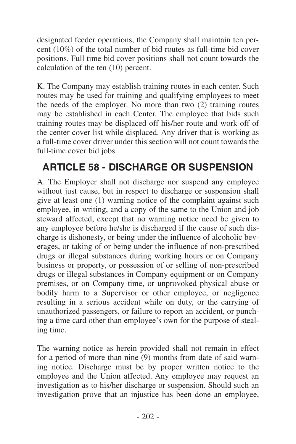<span id="page-25-0"></span>designated feeder operations, the Company shall maintain ten percent (10%) of the total number of bid routes as full-time bid cover positions. Full time bid cover positions shall not count towards the calculation of the ten (10) percent.

K. The Company may establish training routes in each center. Such routes may be used for training and qualifying employees to meet the needs of the employer. No more than two (2) training routes may be established in each Center. The employee that bids such training routes may be displaced off his/her route and work off of the center cover list while displaced. Any driver that is working as a full-time cover driver under this section will not count towards the full-time cover bid jobs.

# **ARTICLE 58 - DISCHARGE OR SUSPENSION**

A. The Employer shall not discharge nor suspend any employee without just cause, but in respect to discharge or suspension shall give at least one (1) warning notice of the complaint against such employee, in writing, and a copy of the same to the Union and job steward affected, except that no warning notice need be given to any employee before he/she is discharged if the cause of such discharge is dishonesty, or being under the influence of alcoholic beverages, or taking of or being under the influence of non-prescribed drugs or illegal substances during working hours or on Company business or property, or possession of or selling of non-prescribed drugs or illegal substances in Company equipment or on Company premises, or on Company time, or unprovoked physical abuse or bodily harm to a Supervisor or other employee, or negligence resulting in a serious accident while on duty, or the carrying of unauthorized passengers, or failure to report an accident, or punching a time card other than employee's own for the purpose of stealing time.

The warning notice as herein provided shall not remain in effect for a period of more than nine  $(9)$  months from date of said warning notice. Discharge must be by proper written notice to the employee and the Union affected. Any employee may request an investigation as to his/her discharge or suspension. Should such an investigation prove that an injustice has been done an employee,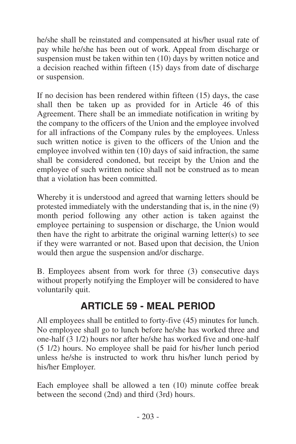<span id="page-26-0"></span>he/she shall be reinstated and compensated at his/her usual rate of pay while he/she has been out of work. Appeal from discharge or suspension must be taken within ten  $(10)$  days by written notice and a decision reached within fifteen (15) days from date of discharge or suspension.

If no decision has been rendered within fifteen (15) days, the case shall then be taken up as provided for in Article 46 of this Agreement. There shall be an immediate notification in writing by the company to the officers of the Union and the employee involved for all infractions of the Company rules by the employees. Unless such written notice is given to the officers of the Union and the employee involved within ten (10) days of said infraction, the same shall be considered condoned, but receipt by the Union and the employee of such written notice shall not be construed as to mean that a violation has been committed.

Whereby it is understood and agreed that warning letters should be protested immediately with the understanding that is, in the nine (9) month period following any other action is taken against the employee pertaining to suspension or discharge, the Union would then have the right to arbitrate the original warning letter(s) to see if they were warranted or not. Based upon that decision, the Union would then argue the suspension and/or discharge.

B. Employees absent from work for three (3) consecutive days without properly notifying the Employer will be considered to have voluntarily quit.

## **ARTICLE 59 - MEAL PERIOD**

All employees shall be entitled to forty-five (45) minutes for lunch. No employee shall go to lunch before he/she has worked three and one-half (3 1/2) hours nor after he/she has worked five and one-half (5 1/2) hours. No employee shall be paid for his/her lunch period unless he/she is instructed to work thru his/her lunch period by his/her Employer.

Each employee shall be allowed a ten (10) minute coffee break between the second (2nd) and third (3rd) hours.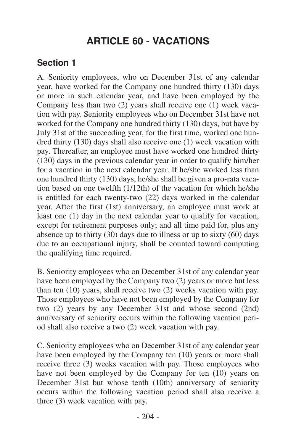# **ARTICLE 60 - VACATIONS**

#### <span id="page-27-0"></span>**Section 1**

A. Seniority employees, who on December 31st of any calendar year, have worked for the Company one hundred thirty (130) days or more in such calendar year, and have been employed by the Company less than two (2) years shall receive one (1) week vacation with pay. Seniority employees who on December 31st have not worked for the Company one hundred thirty (130) days, but have by July 31st of the succeeding year, for the first time, worked one hundred thirty (130) days shall also receive one (1) week vacation with pay. Thereafter, an employee must have worked one hundred thirty (130) days in the previous calendar year in order to qualify him/her for a vacation in the next calendar year. If he/she worked less than one hundred thirty (130) days, he/she shall be given a pro-rata vacation based on one twelfth (1/12th) of the vacation for which he/she is entitled for each twenty-two (22) days worked in the calendar year. After the first (1st) anniversary, an employee must work at least one (1) day in the next calendar year to qualify for vacation, except for retirement purposes only; and all time paid for, plus any absence up to thirty (30) days due to illness or up to sixty (60) days due to an occupational injury, shall be counted toward computing the qualifying time required.

B. Seniority employees who on December 31st of any calendar year have been employed by the Company two (2) years or more but less than ten (10) years, shall receive two (2) weeks vacation with pay. Those employees who have not been employed by the Company for two (2) years by any December 31st and whose second (2nd) anniversary of seniority occurs within the following vacation period shall also receive a two (2) week vacation with pay.

C. Seniority employees who on December 31st of any calendar year have been employed by the Company ten (10) years or more shall receive three (3) weeks vacation with pay. Those employees who have not been employed by the Company for ten (10) years on December 31st but whose tenth (10th) anniversary of seniority occurs within the following vacation period shall also receive a three (3) week vacation with pay.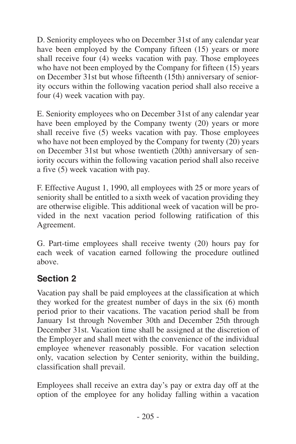<span id="page-28-0"></span>D. Seniority employees who on December 31st of any calendar year have been employed by the Company fifteen (15) years or more shall receive four (4) weeks vacation with pay. Those employees who have not been employed by the Company for fifteen  $(15)$  years on December 31st but whose fifteenth (15th) anniversary of seniority occurs within the following vacation period shall also receive a four (4) week vacation with pay.

E. Seniority employees who on December 31st of any calendar year have been employed by the Company twenty (20) years or more shall receive five (5) weeks vacation with pay. Those employees who have not been employed by the Company for twenty  $(20)$  years on December 31st but whose twentieth (20th) anniversary of seniority occurs within the following vacation period shall also receive a five (5) week vacation with pay.

F. Effective August 1, 1990, all employees with 25 or more years of seniority shall be entitled to a sixth week of vacation providing they are otherwise eligible. This additional week of vacation will be provided in the next vacation period following ratification of this Agreement.

G. Part-time employees shall receive twenty (20) hours pay for each week of vacation earned following the procedure outlined above.

#### **Section 2**

Vacation pay shall be paid employees at the classification at which they worked for the greatest number of days in the six (6) month period prior to their vacations. The vacation period shall be from January 1st through November 30th and December 25th through December 31st. Vacation time shall be assigned at the discretion of the Employer and shall meet with the convenience of the individual employee whenever reasonably possible. For vacation selection only, vacation selection by Center seniority, within the building, classification shall prevail.

Employees shall receive an extra day's pay or extra day off at the option of the employee for any holiday falling within a vacation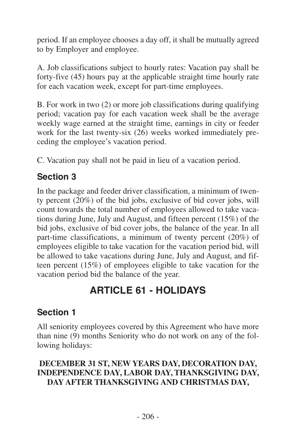<span id="page-29-0"></span>period. If an employee chooses a day off, it shall be mutually agreed to by Employer and employee.

A. Job classifications subject to hourly rates: Vacation pay shall be forty-five (45) hours pay at the applicable straight time hourly rate for each vacation week, except for part-time employees.

B. For work in two (2) or more job classifications during qualifying period; vacation pay for each vacation week shall be the average weekly wage earned at the straight time, earnings in city or feeder work for the last twenty-six (26) weeks worked immediately preceding the employee's vacation period.

C. Vacation pay shall not be paid in lieu of a vacation period.

#### **Section 3**

In the package and feeder driver classification, a minimum of twenty percent (20%) of the bid jobs, exclusive of bid cover jobs, will count towards the total number of employees allowed to take vacations during June, July and August, and fifteen percent (15%) of the bid jobs, exclusive of bid cover jobs, the balance of the year. In all part-time classifications, a minimum of twenty percent (20%) of employees eligible to take vacation for the vacation period bid, will be allowed to take vacations during June, July and August, and fifteen percent (15%) of employees eligible to take vacation for the vacation period bid the balance of the year.

# **ARTICLE 61 - HOLIDAYS**

#### **Section 1**

All seniority employees covered by this Agreement who have more than nine (9) months Seniority who do not work on any of the following holidays:

#### **DECEMBER 31 ST, NEW YEARS DAY, DECORATION DAY, INDEPENDENCE DAY, LABOR DAY, THANKSGIVING DAY, DAY AFTER THANKSGIVING AND CHRISTMAS DAY,**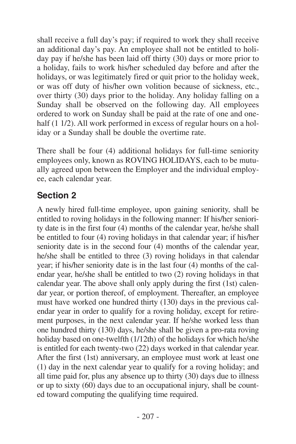<span id="page-30-0"></span>shall receive a full day's pay; if required to work they shall receive an additional day's pay. An employee shall not be entitled to holiday pay if he/she has been laid off thirty (30) days or more prior to a holiday, fails to work his/her scheduled day before and after the holidays, or was legitimately fired or quit prior to the holiday week, or was off duty of his/her own volition because of sickness, etc., over thirty (30) days prior to the holiday. Any holiday falling on a Sunday shall be observed on the following day. All employees ordered to work on Sunday shall be paid at the rate of one and onehalf (1 1/2). All work performed in excess of regular hours on a holiday or a Sunday shall be double the overtime rate.

There shall be four (4) additional holidays for full-time seniority employees only, known as ROVING HOLIDAYS, each to be mutually agreed upon between the Employer and the individual employee, each calendar year.

#### **Section 2**

A newly hired full-time employee, upon gaining seniority, shall be entitled to roving holidays in the following manner: If his/her seniority date is in the first four (4) months of the calendar year, he/she shall be entitled to four (4) roving holidays in that calendar year; if his/her seniority date is in the second four (4) months of the calendar year, he/she shall be entitled to three (3) roving holidays in that calendar year; if his/her seniority date is in the last four (4) months of the calendar year, he/she shall be entitled to two (2) roving holidays in that calendar year. The above shall only apply during the first (1st) calendar year, or portion thereof, of employment. Thereafter, an employee must have worked one hundred thirty (130) days in the previous calendar year in order to qualify for a roving holiday, except for retirement purposes, in the next calendar year. If he/she worked less than one hundred thirty (130) days, he/she shall be given a pro-rata roving holiday based on one-twelfth (1/12th) of the holidays for which he/she is entitled for each twenty-two (22) days worked in that calendar year. After the first (1st) anniversary, an employee must work at least one (1) day in the next calendar year to qualify for a roving holiday; and all time paid for, plus any absence up to thirty (30) days due to illness or up to sixty (60) days due to an occupational injury, shall be counted toward computing the qualifying time required.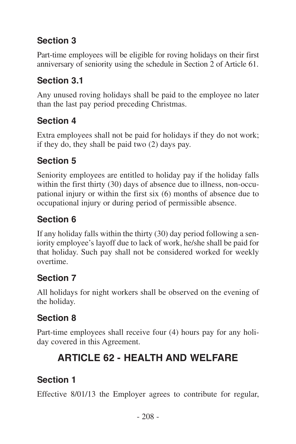## <span id="page-31-0"></span>**Section 3**

Part-time employees will be eligible for roving holidays on their first anniversary of seniority using the schedule in Section 2 of Article 61.

#### **Section 3.1**

Any unused roving holidays shall be paid to the employee no later than the last pay period preceding Christmas.

#### **Section 4**

Extra employees shall not be paid for holidays if they do not work; if they do, they shall be paid two (2) days pay.

#### **Section 5**

Seniority employees are entitled to holiday pay if the holiday falls within the first thirty (30) days of absence due to illness, non-occupational injury or within the first six (6) months of absence due to occupational injury or during period of permissible absence.

## **Section 6**

If any holiday falls within the thirty (30) day period following a seniority employee's layoff due to lack of work, he/she shall be paid for that holiday. Such pay shall not be considered worked for weekly overtime.

#### **Section 7**

All holidays for night workers shall be observed on the evening of the holiday.

#### **Section 8**

Part-time employees shall receive four (4) hours pay for any holiday covered in this Agreement.

# **ARTICLE 62 - HEALTH AND WELFARE**

#### **Section 1**

Effective 8/01/13 the Employer agrees to contribute for regular,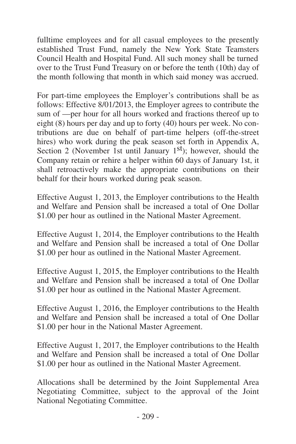fulltime employees and for all casual employees to the presently established Trust Fund, namely the New York State Teamsters Council Health and Hospital Fund. All such money shall be turned over to the Trust Fund Treasury on or before the tenth (10th) day of the month following that month in which said money was accrued.

For part-time employees the Employer's contributions shall be as follows: Effective 8/01/2013, the Employer agrees to contribute the sum of —per hour for all hours worked and fractions thereof up to eight (8) hours per day and up to forty (40) hours per week. No contributions are due on behalf of part-time helpers (off-the-street hires) who work during the peak season set forth in Appendix A, Section 2 (November 1st until January 1<sup>st</sup>); however, should the Company retain or rehire a helper within 60 days of January 1st, it shall retroactively make the appropriate contributions on their behalf for their hours worked during peak season.

Effective August 1, 2013, the Employer contributions to the Health and Welfare and Pension shall be increased a total of One Dollar \$1.00 per hour as outlined in the National Master Agreement.

Effective August 1, 2014, the Employer contributions to the Health and Welfare and Pension shall be increased a total of One Dollar \$1.00 per hour as outlined in the National Master Agreement.

Effective August 1, 2015, the Employer contributions to the Health and Welfare and Pension shall be increased a total of One Dollar \$1.00 per hour as outlined in the National Master Agreement.

Effective August 1, 2016, the Employer contributions to the Health and Welfare and Pension shall be increased a total of One Dollar \$1.00 per hour in the National Master Agreement.

Effective August 1, 2017, the Employer contributions to the Health and Welfare and Pension shall be increased a total of One Dollar \$1.00 per hour as outlined in the National Master Agreement.

Allocations shall be determined by the Joint Supplemental Area Negotiating Committee, subject to the approval of the Joint National Negotiating Committee.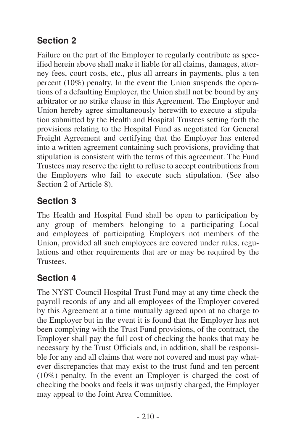## <span id="page-33-0"></span>**Section 2**

Failure on the part of the Employer to regularly contribute as specified herein above shall make it liable for all claims, damages, attorney fees, court costs, etc., plus all arrears in payments, plus a ten percent (10%) penalty. In the event the Union suspends the operations of a defaulting Employer, the Union shall not be bound by any arbitrator or no strike clause in this Agreement. The Employer and Union hereby agree simultaneously herewith to execute a stipulation submitted by the Health and Hospital Trustees setting forth the provisions relating to the Hospital Fund as negotiated for General Freight Agreement and certifying that the Employer has entered into a written agreement containing such provisions, providing that stipulation is consistent with the terms of this agreement. The Fund Trustees may reserve the right to refuse to accept contributions from the Employers who fail to execute such stipulation. (See also Section 2 of Article 8).

#### **Section 3**

The Health and Hospital Fund shall be open to participation by any group of members belonging to a participating Local and employees of participating Employers not members of the Union, provided all such employees are covered under rules, regulations and other requirements that are or may be required by the Trustees.

#### **Section 4**

The NYST Council Hospital Trust Fund may at any time check the payroll records of any and all employees of the Employer covered by this Agreement at a time mutually agreed upon at no charge to the Employer but in the event it is found that the Employer has not been complying with the Trust Fund provisions, of the contract, the Employer shall pay the full cost of checking the books that may be necessary by the Trust Officials and, in addition, shall be responsible for any and all claims that were not covered and must pay whatever discrepancies that may exist to the trust fund and ten percent (10%) penalty. In the event an Employer is charged the cost of checking the books and feels it was unjustly charged, the Employer may appeal to the Joint Area Committee.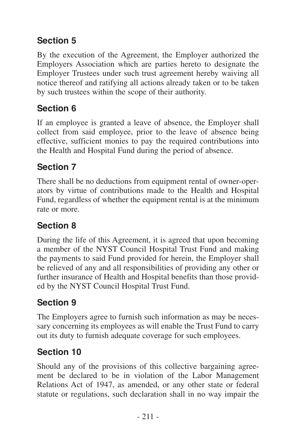## <span id="page-34-0"></span>**Section 5**

By the execution of the Agreement, the Employer authorized the Employers Association which are parties hereto to designate the Employer Trustees under such trust agreement hereby waiving all notice thereof and ratifying all actions already taken or to be taken by such trustees within the scope of their authority.

## **Section 6**

If an employee is granted a leave of absence, the Employer shall collect from said employee, prior to the leave of absence being effective, sufficient monies to pay the required contributions into the Health and Hospital Fund during the period of absence.

#### **Section 7**

There shall be no deductions from equipment rental of owner-operators by virtue of contributions made to the Health and Hospital Fund, regardless of whether the equipment rental is at the minimum rate or more.

## **Section 8**

During the life of this Agreement, it is agreed that upon becoming a member of the NYST Council Hospital Trust Fund and making the payments to said Fund provided for herein, the Employer shall be relieved of any and all responsibilities of providing any other or further insurance of Health and Hospital benefits than those provided by the NYST Council Hospital Trust Fund.

# **Section 9**

The Employers agree to furnish such information as may be necessary concerning its employees as will enable the Trust Fund to carry out its duty to furnish adequate coverage for such employees.

## **Section 10**

Should any of the provisions of this collective bargaining agreement be declared to be in violation of the Labor Management Relations Act of 1947, as amended, or any other state or federal statute or regulations, such declaration shall in no way impair the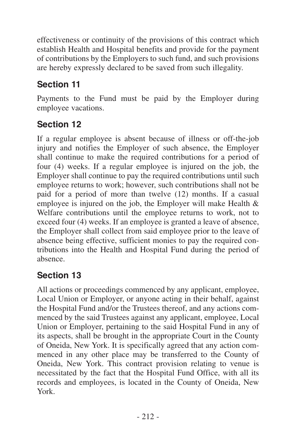<span id="page-35-0"></span>effectiveness or continuity of the provisions of this contract which establish Health and Hospital benefits and provide for the payment of contributions by the Employers to such fund, and such provisions are hereby expressly declared to be saved from such illegality.

## **Section 11**

Payments to the Fund must be paid by the Employer during employee vacations.

## **Section 12**

If a regular employee is absent because of illness or off-the-job injury and notifies the Employer of such absence, the Employer shall continue to make the required contributions for a period of four (4) weeks. If a regular employee is injured on the job, the Employer shall continue to pay the required contributions until such employee returns to work; however, such contributions shall not be paid for a period of more than twelve (12) months. If a casual employee is injured on the job, the Employer will make Health & Welfare contributions until the employee returns to work, not to exceed four (4) weeks. If an employee is granted a leave of absence, the Employer shall collect from said employee prior to the leave of absence being effective, sufficient monies to pay the required contributions into the Health and Hospital Fund during the period of absence.

#### **Section 13**

All actions or proceedings commenced by any applicant, employee, Local Union or Employer, or anyone acting in their behalf, against the Hospital Fund and/or the Trustees thereof, and any actions commenced by the said Trustees against any applicant, employee, Local Union or Employer, pertaining to the said Hospital Fund in any of its aspects, shall be brought in the appropriate Court in the County of Oneida, New York. It is specifically agreed that any action commenced in any other place may be transferred to the County of Oneida, New York. This contract provision relating to venue is necessitated by the fact that the Hospital Fund Office, with all its records and employees, is located in the County of Oneida, New York.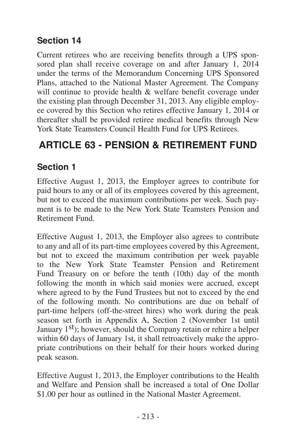#### <span id="page-36-0"></span>**Section 14**

Current retirees who are receiving benefits through a UPS sponsored plan shall receive coverage on and after January 1, 2014 under the terms of the Memorandum Concerning UPS Sponsored Plans, attached to the National Master Agreement. The Company will continue to provide health & welfare benefit coverage under the existing plan through December 31, 2013. Any eligible employee covered by this Section who retires effective January 1, 2014 or thereafter shall be provided retiree medical benefits through New York State Teamsters Council Health Fund for UPS Retirees.

# **ARTICLE 63 - PENSION & RETIREMENT FUND**

#### **Section 1**

Effective August 1, 2013, the Employer agrees to contribute for paid hours to any or all of its employees covered by this agreement, but not to exceed the maximum contributions per week. Such payment is to be made to the New York State Teamsters Pension and Retirement Fund.

Effective August 1, 2013, the Employer also agrees to contribute to any and all of its part-time employees covered by this Agreement, but not to exceed the maximum contribution per week payable to the New York State Teamster Pension and Retirement Fund Treasury on or before the tenth (10th) day of the month following the month in which said monies were accrued, except where agreed to by the Fund Trustees but not to exceed by the end of the following month. No contributions are due on behalf of part-time helpers (off-the-street hires) who work during the peak season set forth in Appendix A, Section 2 (November 1st until January 1<sup>st</sup>); however, should the Company retain or rehire a helper within 60 days of January 1st, it shall retroactively make the appropriate contributions on their behalf for their hours worked during peak season.

Effective August 1, 2013, the Employer contributions to the Health and Welfare and Pension shall be increased a total of One Dollar \$1.00 per hour as outlined in the National Master Agreement.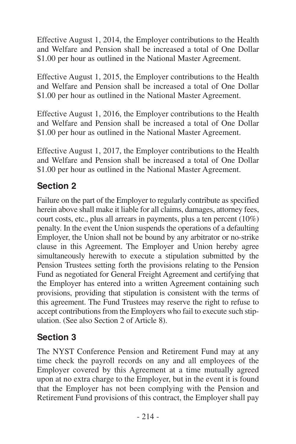<span id="page-37-0"></span>Effective August 1, 2014, the Employer contributions to the Health and Welfare and Pension shall be increased a total of One Dollar \$1.00 per hour as outlined in the National Master Agreement.

Effective August 1, 2015, the Employer contributions to the Health and Welfare and Pension shall be increased a total of One Dollar \$1.00 per hour as outlined in the National Master Agreement.

Effective August 1, 2016, the Employer contributions to the Health and Welfare and Pension shall be increased a total of One Dollar \$1.00 per hour as outlined in the National Master Agreement.

Effective August 1, 2017, the Employer contributions to the Health and Welfare and Pension shall be increased a total of One Dollar \$1.00 per hour as outlined in the National Master Agreement.

#### **Section 2**

Failure on the part of the Employer to regularly contribute as specified herein above shall make it liable for all claims, damages, attorney fees, court costs, etc., plus all arrears in payments, plus a ten percent (10%) penalty. In the event the Union suspends the operations of a defaulting Employer, the Union shall not be bound by any arbitrator or no-strike clause in this Agreement. The Employer and Union hereby agree simultaneously herewith to execute a stipulation submitted by the Pension Trustees setting forth the provisions relating to the Pension Fund as negotiated for General Freight Agreement and certifying that the Employer has entered into a written Agreement containing such provisions, providing that stipulation is consistent with the terms of this agreement. The Fund Trustees may reserve the right to refuse to accept contributions from the Employers who fail to execute such stipulation. (See also Section 2 of Article 8).

#### **Section 3**

The NYST Conference Pension and Retirement Fund may at any time check the payroll records on any and all employees of the Employer covered by this Agreement at a time mutually agreed upon at no extra charge to the Employer, but in the event it is found that the Employer has not been complying with the Pension and Retirement Fund provisions of this contract, the Employer shall pay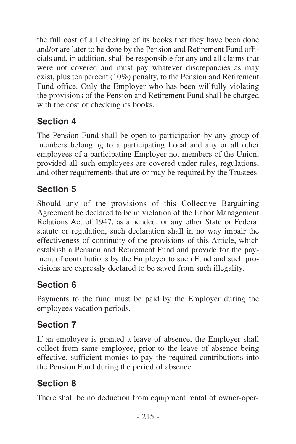<span id="page-38-0"></span>the full cost of all checking of its books that they have been done and/or are later to be done by the Pension and Retirement Fund officials and, in addition, shall be responsible for any and all claims that were not covered and must pay whatever discrepancies as may exist, plus ten percent (10%) penalty, to the Pension and Retirement Fund office. Only the Employer who has been willfully violating the provisions of the Pension and Retirement Fund shall be charged with the cost of checking its books.

## **Section 4**

The Pension Fund shall be open to participation by any group of members belonging to a participating Local and any or all other employees of a participating Employer not members of the Union, provided all such employees are covered under rules, regulations, and other requirements that are or may be required by the Trustees.

# **Section 5**

Should any of the provisions of this Collective Bargaining Agreement be declared to be in violation of the Labor Management Relations Act of 1947, as amended, or any other State or Federal statute or regulation, such declaration shall in no way impair the effectiveness of continuity of the provisions of this Article, which establish a Pension and Retirement Fund and provide for the payment of contributions by the Employer to such Fund and such provisions are expressly declared to be saved from such illegality.

## **Section 6**

Payments to the fund must be paid by the Employer during the employees vacation periods.

## **Section 7**

If an employee is granted a leave of absence, the Employer shall collect from same employee, prior to the leave of absence being effective, sufficient monies to pay the required contributions into the Pension Fund during the period of absence.

# **Section 8**

There shall be no deduction from equipment rental of owner-oper-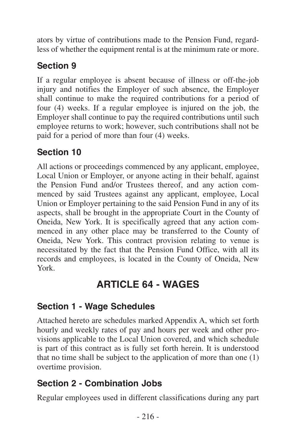<span id="page-39-0"></span>ators by virtue of contributions made to the Pension Fund, regardless of whether the equipment rental is at the minimum rate or more.

# **Section 9**

If a regular employee is absent because of illness or off-the-job injury and notifies the Employer of such absence, the Employer shall continue to make the required contributions for a period of four (4) weeks. If a regular employee is injured on the job, the Employer shall continue to pay the required contributions until such employee returns to work; however, such contributions shall not be paid for a period of more than four (4) weeks.

# **Section 10**

All actions or proceedings commenced by any applicant, employee, Local Union or Employer, or anyone acting in their behalf, against the Pension Fund and/or Trustees thereof, and any action commenced by said Trustees against any applicant, employee, Local Union or Employer pertaining to the said Pension Fund in any of its aspects, shall be brought in the appropriate Court in the County of Oneida, New York. It is specifically agreed that any action commenced in any other place may be transferred to the County of Oneida, New York. This contract provision relating to venue is necessitated by the fact that the Pension Fund Office, with all its records and employees, is located in the County of Oneida, New York.

# **ARTICLE 64 - WAGES**

#### **Section 1 - Wage Schedules**

Attached hereto are schedules marked Appendix A, which set forth hourly and weekly rates of pay and hours per week and other provisions applicable to the Local Union covered, and which schedule is part of this contract as is fully set forth herein. It is understood that no time shall be subject to the application of more than one (1) overtime provision.

#### **Section 2 - Combination Jobs**

Regular employees used in different classifications during any part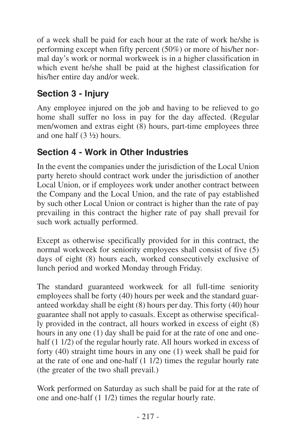<span id="page-40-0"></span>of a week shall be paid for each hour at the rate of work he/she is performing except when fifty percent (50%) or more of his/her normal day's work or normal workweek is in a higher classification in which event he/she shall be paid at the highest classification for his/her entire day and/or week.

## **Section 3 - Injury**

Any employee injured on the job and having to be relieved to go home shall suffer no loss in pay for the day affected. (Regular men/women and extras eight (8) hours, part-time employees three and one half (3 ½) hours.

## **Section 4 - Work in Other Industries**

In the event the companies under the jurisdiction of the Local Union party hereto should contract work under the jurisdiction of another Local Union, or if employees work under another contract between the Company and the Local Union, and the rate of pay established by such other Local Union or contract is higher than the rate of pay prevailing in this contract the higher rate of pay shall prevail for such work actually performed.

Except as otherwise specifically provided for in this contract, the normal workweek for seniority employees shall consist of five (5) days of eight (8) hours each, worked consecutively exclusive of lunch period and worked Monday through Friday.

The standard guaranteed workweek for all full-time seniority employees shall be forty (40) hours per week and the standard guaranteed workday shall be eight (8) hours per day. This forty (40) hour guarantee shall not apply to casuals. Except as otherwise specifically provided in the contract, all hours worked in excess of eight (8) hours in any one (1) day shall be paid for at the rate of one and onehalf (1 1/2) of the regular hourly rate. All hours worked in excess of forty (40) straight time hours in any one (1) week shall be paid for at the rate of one and one-half (1 1/2) times the regular hourly rate (the greater of the two shall prevail.)

Work performed on Saturday as such shall be paid for at the rate of one and one-half (1 1/2) times the regular hourly rate.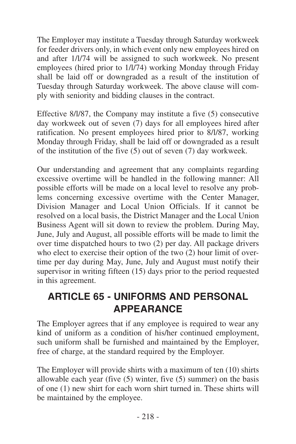<span id="page-41-0"></span>The Employer may institute a Tuesday through Saturday workweek for feeder drivers only, in which event only new employees hired on and after 1/l/74 will be assigned to such workweek. No present employees (hired prior to 1/l/74) working Monday through Friday shall be laid off or downgraded as a result of the institution of Tuesday through Saturday workweek. The above clause will comply with seniority and bidding clauses in the contract.

Effective 8/l/87, the Company may institute a five (5) consecutive day workweek out of seven (7) days for all employees hired after ratification. No present employees hired prior to 8/l/87, working Monday through Friday, shall be laid off or downgraded as a result of the institution of the five (5) out of seven (7) day workweek.

Our understanding and agreement that any complaints regarding excessive overtime will be handled in the following manner: All possible efforts will be made on a local level to resolve any problems concerning excessive overtime with the Center Manager, Division Manager and Local Union Officials. If it cannot be resolved on a local basis, the District Manager and the Local Union Business Agent will sit down to review the problem. During May, June, July and August, all possible efforts will be made to limit the over time dispatched hours to two (2) per day. All package drivers who elect to exercise their option of the two (2) hour limit of overtime per day during May, June, July and August must notify their supervisor in writing fifteen (15) days prior to the period requested in this agreement.

## **ARTICLE 65 - UNIFORMS AND PERSONAL APPEARANCE**

The Employer agrees that if any employee is required to wear any kind of uniform as a condition of his/her continued employment, such uniform shall be furnished and maintained by the Employer, free of charge, at the standard required by the Employer.

The Employer will provide shirts with a maximum of ten (10) shirts allowable each year (five (5) winter, five (5) summer) on the basis of one (1) new shirt for each worn shirt turned in. These shirts will be maintained by the employee.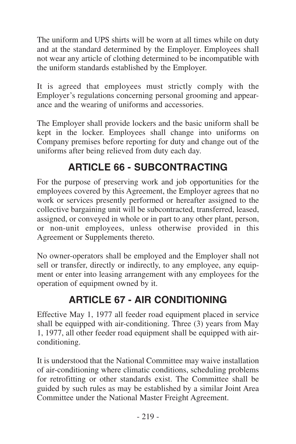<span id="page-42-0"></span>The uniform and UPS shirts will be worn at all times while on duty and at the standard determined by the Employer. Employees shall not wear any article of clothing determined to be incompatible with the uniform standards established by the Employer.

It is agreed that employees must strictly comply with the Employer's regulations concerning personal grooming and appearance and the wearing of uniforms and accessories.

The Employer shall provide lockers and the basic uniform shall be kept in the locker. Employees shall change into uniforms on Company premises before reporting for duty and change out of the uniforms after being relieved from duty each day.

# **ARTICLE 66 - SUBCONTRACTING**

For the purpose of preserving work and job opportunities for the employees covered by this Agreement, the Employer agrees that no work or services presently performed or hereafter assigned to the collective bargaining unit will be subcontracted, transferred, leased, assigned, or conveyed in whole or in part to any other plant, person, or non-unit employees, unless otherwise provided in this Agreement or Supplements thereto.

No owner-operators shall be employed and the Employer shall not sell or transfer, directly or indirectly, to any employee, any equipment or enter into leasing arrangement with any employees for the operation of equipment owned by it.

# **ARTICLE 67 - AIR CONDITIONING**

Effective May 1, 1977 all feeder road equipment placed in service shall be equipped with air-conditioning. Three (3) years from May 1, 1977, all other feeder road equipment shall be equipped with airconditioning.

It is understood that the National Committee may waive installation of air-conditioning where climatic conditions, scheduling problems for retrofitting or other standards exist. The Committee shall be guided by such rules as may be established by a similar Joint Area Committee under the National Master Freight Agreement.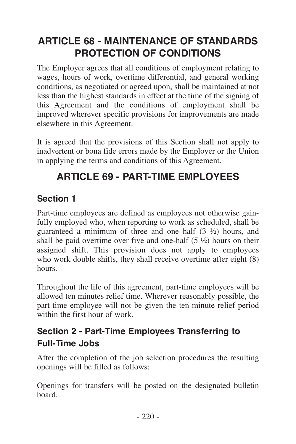# <span id="page-43-0"></span>**ARTICLE 68 - MAINTENANCE OF STANDARDS PROTECTION OF CONDITIONS**

The Employer agrees that all conditions of employment relating to wages, hours of work, overtime differential, and general working conditions, as negotiated or agreed upon, shall be maintained at not less than the highest standards in effect at the time of the signing of this Agreement and the conditions of employment shall be improved wherever specific provisions for improvements are made elsewhere in this Agreement.

It is agreed that the provisions of this Section shall not apply to inadvertent or bona fide errors made by the Employer or the Union in applying the terms and conditions of this Agreement.

# **ARTICLE 69 - PART-TIME EMPLOYEES**

#### **Section 1**

Part-time employees are defined as employees not otherwise gainfully employed who, when reporting to work as scheduled, shall be guaranteed a minimum of three and one half  $(3 \frac{1}{2})$  hours, and shall be paid overtime over five and one-half  $(5 \frac{1}{2})$  hours on their assigned shift. This provision does not apply to employees who work double shifts, they shall receive overtime after eight (8) hours.

Throughout the life of this agreement, part-time employees will be allowed ten minutes relief time. Wherever reasonably possible, the part-time employee will not be given the ten-minute relief period within the first hour of work.

#### **Section 2 - Part-Time Employees Transferring to Full-Time Jobs**

After the completion of the job selection procedures the resulting openings will be filled as follows:

Openings for transfers will be posted on the designated bulletin board.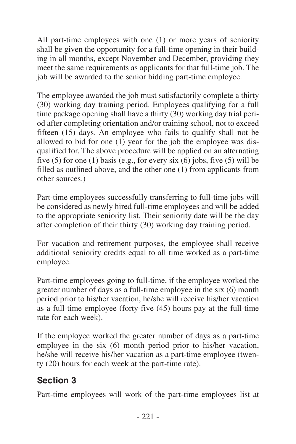<span id="page-44-0"></span>All part-time employees with one (1) or more years of seniority shall be given the opportunity for a full-time opening in their building in all months, except November and December, providing they meet the same requirements as applicants for that full-time job. The job will be awarded to the senior bidding part-time employee.

The employee awarded the job must satisfactorily complete a thirty (30) working day training period. Employees qualifying for a full time package opening shall have a thirty (30) working day trial period after completing orientation and/or training school, not to exceed fifteen (15) days. An employee who fails to qualify shall not be allowed to bid for one  $(1)$  year for the job the employee was disqualified for. The above procedure will be applied on an alternating five (5) for one (1) basis (e.g., for every six  $(6)$  jobs, five (5) will be filled as outlined above, and the other one (1) from applicants from other sources.)

Part-time employees successfully transferring to full-time jobs will be considered as newly hired full-time employees and will be added to the appropriate seniority list. Their seniority date will be the day after completion of their thirty (30) working day training period.

For vacation and retirement purposes, the employee shall receive additional seniority credits equal to all time worked as a part-time employee.

Part-time employees going to full-time, if the employee worked the greater number of days as a full-time employee in the six (6) month period prior to his/her vacation, he/she will receive his/her vacation as a full-time employee (forty-five (45) hours pay at the full-time rate for each week).

If the employee worked the greater number of days as a part-time employee in the six (6) month period prior to his/her vacation, he/she will receive his/her vacation as a part-time employee (twenty (20) hours for each week at the part-time rate).

#### **Section 3**

Part-time employees will work of the part-time employees list at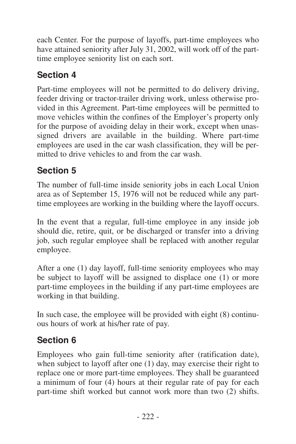<span id="page-45-0"></span>each Center. For the purpose of layoffs, part-time employees who have attained seniority after July 31, 2002, will work off of the parttime employee seniority list on each sort.

## **Section 4**

Part-time employees will not be permitted to do delivery driving, feeder driving or tractor-trailer driving work, unless otherwise provided in this Agreement. Part-time employees will be permitted to move vehicles within the confines of the Employer's property only for the purpose of avoiding delay in their work, except when unassigned drivers are available in the building. Where part-time employees are used in the car wash classification, they will be permitted to drive vehicles to and from the car wash.

#### **Section 5**

The number of full-time inside seniority jobs in each Local Union area as of September 15, 1976 will not be reduced while any parttime employees are working in the building where the layoff occurs.

In the event that a regular, full-time employee in any inside job should die, retire, quit, or be discharged or transfer into a driving job, such regular employee shall be replaced with another regular employee.

After a one (1) day layoff, full-time seniority employees who may be subject to layoff will be assigned to displace one (1) or more part-time employees in the building if any part-time employees are working in that building.

In such case, the employee will be provided with eight (8) continuous hours of work at his/her rate of pay.

#### **Section 6**

Employees who gain full-time seniority after (ratification date), when subject to layoff after one (1) day, may exercise their right to replace one or more part-time employees. They shall be guaranteed a minimum of four (4) hours at their regular rate of pay for each part-time shift worked but cannot work more than two (2) shifts.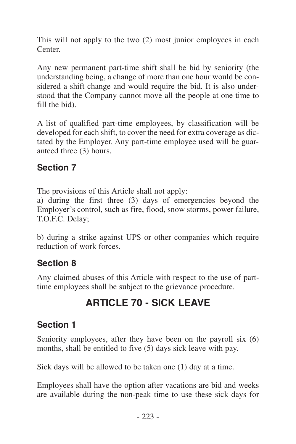<span id="page-46-0"></span>This will not apply to the two (2) most junior employees in each Center.

Any new permanent part-time shift shall be bid by seniority (the understanding being, a change of more than one hour would be considered a shift change and would require the bid. It is also understood that the Company cannot move all the people at one time to fill the bid).

A list of qualified part-time employees, by classification will be developed for each shift, to cover the need for extra coverage as dictated by the Employer. Any part-time employee used will be guaranteed three (3) hours.

#### **Section 7**

The provisions of this Article shall not apply:

a) during the first three (3) days of emergencies beyond the Employer's control, such as fire, flood, snow storms, power failure, T.O.F.C. Delay;

b) during a strike against UPS or other companies which require reduction of work forces.

#### **Section 8**

Any claimed abuses of this Article with respect to the use of parttime employees shall be subject to the grievance procedure.

# **ARTICLE 70 - SICK LEAVE**

#### **Section 1**

Seniority employees, after they have been on the payroll six (6) months, shall be entitled to five (5) days sick leave with pay.

Sick days will be allowed to be taken one (1) day at a time.

Employees shall have the option after vacations are bid and weeks are available during the non-peak time to use these sick days for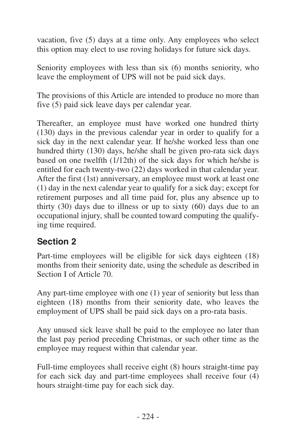<span id="page-47-0"></span>vacation, five (5) days at a time only. Any employees who select this option may elect to use roving holidays for future sick days.

Seniority employees with less than six (6) months seniority, who leave the employment of UPS will not be paid sick days.

The provisions of this Article are intended to produce no more than five (5) paid sick leave days per calendar year.

Thereafter, an employee must have worked one hundred thirty (130) days in the previous calendar year in order to qualify for a sick day in the next calendar year. If he/she worked less than one hundred thirty (130) days, he/she shall be given pro-rata sick days based on one twelfth (1/12th) of the sick days for which he/she is entitled for each twenty-two (22) days worked in that calendar year. After the first (1st) anniversary, an employee must work at least one (1) day in the next calendar year to qualify for a sick day; except for retirement purposes and all time paid for, plus any absence up to thirty (30) days due to illness or up to sixty (60) days due to an occupational injury, shall be counted toward computing the qualifying time required.

#### **Section 2**

Part-time employees will be eligible for sick days eighteen (18) months from their seniority date, using the schedule as described in Section I of Article 70.

Any part-time employee with one (1) year of seniority but less than eighteen (18) months from their seniority date, who leaves the employment of UPS shall be paid sick days on a pro-rata basis.

Any unused sick leave shall be paid to the employee no later than the last pay period preceding Christmas, or such other time as the employee may request within that calendar year.

Full-time employees shall receive eight (8) hours straight-time pay for each sick day and part-time employees shall receive four (4) hours straight-time pay for each sick day.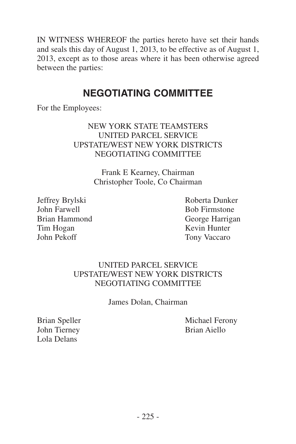<span id="page-48-0"></span>IN WITNESS WHEREOF the parties hereto have set their hands and seals this day of August 1, 2013, to be effective as of August 1, 2013, except as to those areas where it has been otherwise agreed between the parties:

#### **NEGOTIATING COMMITTEE**

For the Employees:

#### NEW YORK STATE TEAMSTERS UNITED PARCEL SERVICE UPSTATE/WEST NEW YORK DISTRICTS NEGOTIATING COMMITTEE

Frank E Kearney, Chairman Christopher Toole, Co Chairman

Jeffrey Brylski Roberta Dunker Tim Hogan Kevin Hunter<br>
Iohn Pekoff Tony Vaccaro

Bob Firmstone Brian Hammond<br>
Tim Hogan<br>
Tim Hogan<br>
Kevin Hunter Tony Vaccaro

#### UNITED PARCEL SERVICE UPSTATE/WEST NEW YORK DISTRICTS NEGOTIATING COMMITTEE

James Dolan, Chairman

John Tierney Brian Aiello Lola Delans

Brian Speller Michael Ferony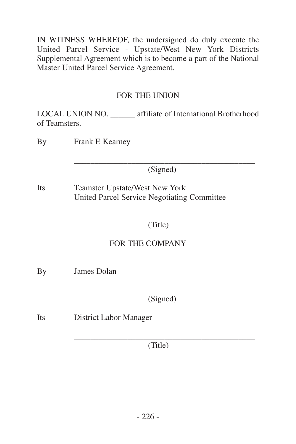IN WITNESS WHEREOF, the undersigned do duly execute the United Parcel Service - Upstate/West New York Districts Supplemental Agreement which is to become a part of the National Master United Parcel Service Agreement.

#### FOR THE UNION

LOCAL UNION NO. affiliate of International Brotherhood of Teamsters.

By Frank E Kearney

\_\_\_\_\_\_\_\_\_\_\_\_\_\_\_\_\_\_\_\_\_\_\_\_\_\_\_\_\_\_\_\_\_\_\_\_\_\_\_\_\_\_\_\_ (Signed)

Its Teamster Upstate/West New York United Parcel Service Negotiating Committee

> \_\_\_\_\_\_\_\_\_\_\_\_\_\_\_\_\_\_\_\_\_\_\_\_\_\_\_\_\_\_\_\_\_\_\_\_\_\_\_\_\_\_\_\_ (Title)

#### FOR THE COMPANY

By James Dolan

\_\_\_\_\_\_\_\_\_\_\_\_\_\_\_\_\_\_\_\_\_\_\_\_\_\_\_\_\_\_\_\_\_\_\_\_\_\_\_\_\_\_\_\_ (Signed)

Its District Labor Manager

\_\_\_\_\_\_\_\_\_\_\_\_\_\_\_\_\_\_\_\_\_\_\_\_\_\_\_\_\_\_\_\_\_\_\_\_\_\_\_\_\_\_\_\_ (Title)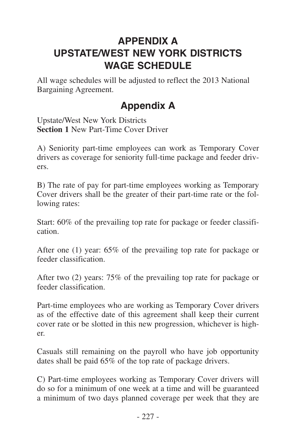# <span id="page-50-0"></span>**APPENDIX A UPSTATE/WEST NEW YORK DISTRICTS WAGE SCHEDULE**

All wage schedules will be adjusted to reflect the 2013 National Bargaining Agreement.

# **Appendix A**

Upstate/West New York Districts **Section 1** New Part-Time Cover Driver

A) Seniority part-time employees can work as Temporary Cover drivers as coverage for seniority full-time package and feeder drivers.

B) The rate of pay for part-time employees working as Temporary Cover drivers shall be the greater of their part-time rate or the following rates:

Start: 60% of the prevailing top rate for package or feeder classification.

After one (1) year: 65% of the prevailing top rate for package or feeder classification.

After two (2) years: 75% of the prevailing top rate for package or feeder classification.

Part-time employees who are working as Temporary Cover drivers as of the effective date of this agreement shall keep their current cover rate or be slotted in this new progression, whichever is higher.

Casuals still remaining on the payroll who have job opportunity dates shall be paid 65% of the top rate of package drivers.

C) Part-time employees working as Temporary Cover drivers will do so for a minimum of one week at a time and will be guaranteed a minimum of two days planned coverage per week that they are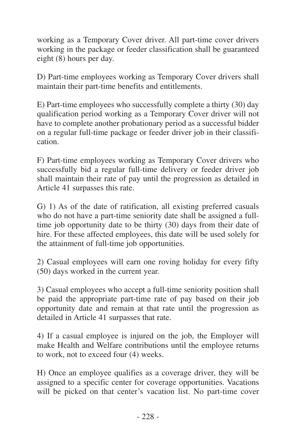working as a Temporary Cover driver. All part-time cover drivers working in the package or feeder classification shall be guaranteed eight (8) hours per day.

D) Part-time employees working as Temporary Cover drivers shall maintain their part-time benefits and entitlements.

E) Part-time employees who successfully complete a thirty (30) day qualification period working as a Temporary Cover driver will not have to complete another probationary period as a successful bidder on a regular full-time package or feeder driver job in their classification.

F) Part-time employees working as Temporary Cover drivers who successfully bid a regular full-time delivery or feeder driver job shall maintain their rate of pay until the progression as detailed in Article 41 surpasses this rate.

G) 1) As of the date of ratification, all existing preferred casuals who do not have a part-time seniority date shall be assigned a fulltime job opportunity date to be thirty (30) days from their date of hire. For these affected employees, this date will be used solely for the attainment of full-time job opportunities.

2) Casual employees will earn one roving holiday for every fifty (50) days worked in the current year.

3) Casual employees who accept a full-time seniority position shall be paid the appropriate part-time rate of pay based on their job opportunity date and remain at that rate until the progression as detailed in Article 41 surpasses that rate.

4) If a casual employee is injured on the job, the Employer will make Health and Welfare contributions until the employee returns to work, not to exceed four (4) weeks.

H) Once an employee qualifies as a coverage driver, they will be assigned to a specific center for coverage opportunities. Vacations will be picked on that center's vacation list. No part-time cover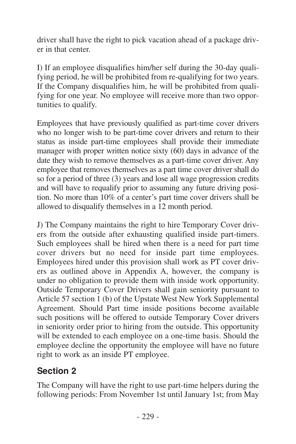<span id="page-52-0"></span>driver shall have the right to pick vacation ahead of a package driver in that center.

I) If an employee disqualifies him/her self during the 30-day qualifying period, he will be prohibited from re-qualifying for two years. If the Company disqualifies him, he will be prohibited from qualifying for one year. No employee will receive more than two opportunities to qualify.

Employees that have previously qualified as part-time cover drivers who no longer wish to be part-time cover drivers and return to their status as inside part-time employees shall provide their immediate manager with proper written notice sixty  $(60)$  days in advance of the date they wish to remove themselves as a part-time cover driver. Any employee that removes themselves as a part time cover driver shall do so for a period of three (3) years and lose all wage progression credits and will have to requalify prior to assuming any future driving position. No more than 10% of a center's part time cover drivers shall be allowed to disqualify themselves in a 12 month period.

J) The Company maintains the right to hire Temporary Cover drivers from the outside after exhausting qualified inside part-timers. Such employees shall be hired when there is a need for part time cover drivers but no need for inside part time employees. Employees hired under this provision shall work as PT cover drivers as outlined above in Appendix A, however, the company is under no obligation to provide them with inside work opportunity. Outside Temporary Cover Drivers shall gain seniority pursuant to Article 57 section 1 (b) of the Upstate West New York Supplemental Agreement. Should Part time inside positions become available such positions will be offered to outside Temporary Cover drivers in seniority order prior to hiring from the outside. This opportunity will be extended to each employee on a one-time basis. Should the employee decline the opportunity the employee will have no future right to work as an inside PT employee.

#### **Section 2**

The Company will have the right to use part-time helpers during the following periods: From November 1st until January 1st; from May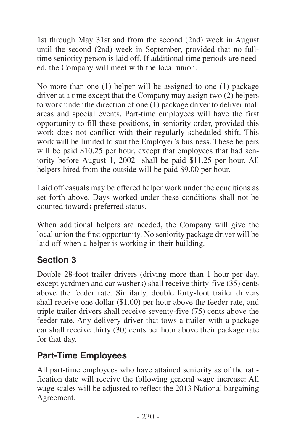<span id="page-53-0"></span>1st through May 31st and from the second (2nd) week in August until the second (2nd) week in September, provided that no fulltime seniority person is laid off. If additional time periods are needed, the Company will meet with the local union.

No more than one (1) helper will be assigned to one (1) package driver at a time except that the Company may assign two (2) helpers to work under the direction of one (1) package driver to deliver mall areas and special events. Part-time employees will have the first opportunity to fill these positions, in seniority order, provided this work does not conflict with their regularly scheduled shift. This work will be limited to suit the Employer's business. These helpers will be paid \$10.25 per hour, except that employees that had seniority before August 1, 2002 shall be paid \$11.25 per hour. All helpers hired from the outside will be paid \$9.00 per hour.

Laid off casuals may be offered helper work under the conditions as set forth above. Days worked under these conditions shall not be counted towards preferred status.

When additional helpers are needed, the Company will give the local union the first opportunity. No seniority package driver will be laid off when a helper is working in their building.

#### **Section 3**

Double 28-foot trailer drivers (driving more than 1 hour per day, except yardmen and car washers) shall receive thirty-five (35) cents above the feeder rate. Similarly, double forty-foot trailer drivers shall receive one dollar (\$1.00) per hour above the feeder rate, and triple trailer drivers shall receive seventy-five (75) cents above the feeder rate. Any delivery driver that tows a trailer with a package car shall receive thirty (30) cents per hour above their package rate for that day.

#### **Part-Time Employees**

All part-time employees who have attained seniority as of the ratification date will receive the following general wage increase: All wage scales will be adjusted to reflect the 2013 National bargaining Agreement.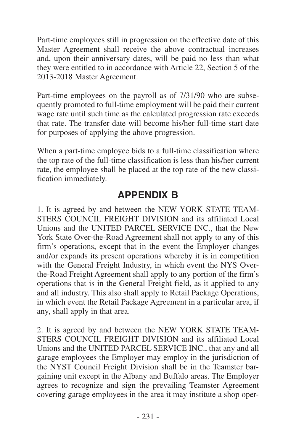<span id="page-54-0"></span>Part-time employees still in progression on the effective date of this Master Agreement shall receive the above contractual increases and, upon their anniversary dates, will be paid no less than what they were entitled to in accordance with Article 22, Section 5 of the 2013-2018 Master Agreement.

Part-time employees on the payroll as of 7/31/90 who are subsequently promoted to full-time employment will be paid their current wage rate until such time as the calculated progression rate exceeds that rate. The transfer date will become his/her full-time start date for purposes of applying the above progression.

When a part-time employee bids to a full-time classification where the top rate of the full-time classification is less than his/her current rate, the employee shall be placed at the top rate of the new classification immediately.

## **APPENDIX B**

1. It is agreed by and between the NEW YORK STATE TEAM-STERS COUNCIL FREIGHT DIVISION and its affiliated Local Unions and the UNITED PARCEL SERVICE INC., that the New York State Over-the-Road Agreement shall not apply to any of this firm's operations, except that in the event the Employer changes and/or expands its present operations whereby it is in competition with the General Freight Industry, in which event the NYS Overthe-Road Freight Agreement shall apply to any portion of the firm's operations that is in the General Freight field, as it applied to any and all industry. This also shall apply to Retail Package Operations, in which event the Retail Package Agreement in a particular area, if any, shall apply in that area.

2. It is agreed by and between the NEW YORK STATE TEAM-STERS COUNCIL FREIGHT DIVISION and its affiliated Local Unions and the UNITED PARCEL SERVICE INC., that any and all garage employees the Employer may employ in the jurisdiction of the NYST Council Freight Division shall be in the Teamster bargaining unit except in the Albany and Buffalo areas. The Employer agrees to recognize and sign the prevailing Teamster Agreement covering garage employees in the area it may institute a shop oper-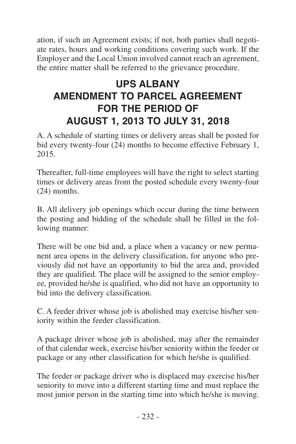<span id="page-55-0"></span>ation, if such an Agreement exists; if not, both parties shall negotiate rates, hours and working conditions covering such work. If the Employer and the Local Union involved cannot reach an agreement, the entire matter shall be referred to the grievance procedure.

# **UPS ALBANY AMENDMENT TO PARCEL AGREEMENT FOR THE PERIOD OF AUGUST 1, 2013 TO JULY 31, 2018**

A. A schedule of starting times or delivery areas shall be posted for bid every twenty-four (24) months to become effective February 1, 2015.

Thereafter, full-time employees will have the right to select starting times or delivery areas from the posted schedule every twenty-four (24) months.

B. All delivery job openings which occur during the time between the posting and bidding of the schedule shall be filled in the following manner:

There will be one bid and, a place when a vacancy or new permanent area opens in the delivery classification, for anyone who previously did not have an opportunity to bid the area and, provided they are qualified. The place will be assigned to the senior employee, provided he/she is qualified, who did not have an opportunity to bid into the delivery classification.

C. A feeder driver whose job is abolished may exercise his/her seniority within the feeder classification.

A package driver whose job is abolished, may after the remainder of that calendar week, exercise his/her seniority within the feeder or package or any other classification for which he/she is qualified.

The feeder or package driver who is displaced may exercise his/her seniority to move into a different starting time and must replace the most junior person in the starting time into which he/she is moving.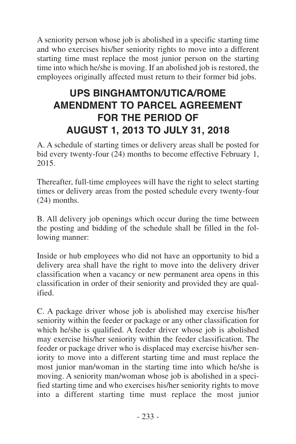<span id="page-56-0"></span>A seniority person whose job is abolished in a specific starting time and who exercises his/her seniority rights to move into a different starting time must replace the most junior person on the starting time into which he/she is moving. If an abolished job is restored, the employees originally affected must return to their former bid jobs.

# **UPS BINGHAMTON/UTICA/ROME AMENDMENT TO PARCEL AGREEMENT FOR THE PERIOD OF AUGUST 1, 2013 TO JULY 31, 2018**

A. A schedule of starting times or delivery areas shall be posted for bid every twenty-four (24) months to become effective February 1, 2015.

Thereafter, full-time employees will have the right to select starting times or delivery areas from the posted schedule every twenty-four (24) months.

B. All delivery job openings which occur during the time between the posting and bidding of the schedule shall be filled in the following manner:

Inside or hub employees who did not have an opportunity to bid a delivery area shall have the right to move into the delivery driver classification when a vacancy or new permanent area opens in this classification in order of their seniority and provided they are qualified.

C. A package driver whose job is abolished may exercise his/her seniority within the feeder or package or any other classification for which he/she is qualified. A feeder driver whose job is abolished may exercise his/her seniority within the feeder classification. The feeder or package driver who is displaced may exercise his/her seniority to move into a different starting time and must replace the most junior man/woman in the starting time into which he/she is moving. A seniority man/woman whose job is abolished in a specified starting time and who exercises his/her seniority rights to move into a different starting time must replace the most junior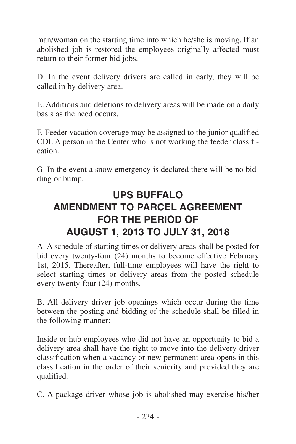<span id="page-57-0"></span>man/woman on the starting time into which he/she is moving. If an abolished job is restored the employees originally affected must return to their former bid jobs.

D. In the event delivery drivers are called in early, they will be called in by delivery area.

E. Additions and deletions to delivery areas will be made on a daily basis as the need occurs.

F. Feeder vacation coverage may be assigned to the junior qualified CDL A person in the Center who is not working the feeder classification.

G. In the event a snow emergency is declared there will be no bidding or bump.

# **UPS BUFFALO AMENDMENT TO PARCEL AGREEMENT FOR THE PERIOD OF AUGUST 1, 2013 TO JULY 31, 2018**

A. A schedule of starting times or delivery areas shall be posted for bid every twenty-four (24) months to become effective February 1st, 2015. Thereafter, full-time employees will have the right to select starting times or delivery areas from the posted schedule every twenty-four (24) months.

B. All delivery driver job openings which occur during the time between the posting and bidding of the schedule shall be filled in the following manner:

Inside or hub employees who did not have an opportunity to bid a delivery area shall have the right to move into the delivery driver classification when a vacancy or new permanent area opens in this classification in the order of their seniority and provided they are qualified.

C. A package driver whose job is abolished may exercise his/her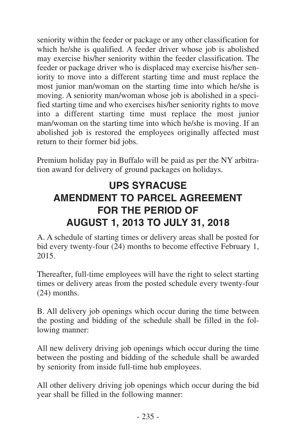<span id="page-58-0"></span>seniority within the feeder or package or any other classification for which he/she is qualified. A feeder driver whose job is abolished may exercise his/her seniority within the feeder classification. The feeder or package driver who is displaced may exercise his/her seniority to move into a different starting time and must replace the most junior man/woman on the starting time into which he/she is moving. A seniority man/woman whose job is abolished in a specified starting time and who exercises his/her seniority rights to move into a different starting time must replace the most junior man/woman on the starting time into which he/she is moving. If an abolished job is restored the employees originally affected must return to their former bid jobs.

Premium holiday pay in Buffalo will be paid as per the NY arbitration award for delivery of ground packages on holidays.

# **UPS SYRACUSE AMENDMENT TO PARCEL AGREEMENT FOR THE PERIOD OF AUGUST 1, 2013 TO JULY 31, 2018**

A. A schedule of starting times or delivery areas shall be posted for bid every twenty-four  $(24)$  months to become effective February 1, 2015.

Thereafter, full-time employees will have the right to select starting times or delivery areas from the posted schedule every twenty-four (24) months.

B. All delivery job openings which occur during the time between the posting and bidding of the schedule shall be filled in the following manner:

All new delivery driving job openings which occur during the time between the posting and bidding of the schedule shall be awarded by seniority from inside full-time hub employees.

All other delivery driving job openings which occur during the bid year shall be filled in the following manner: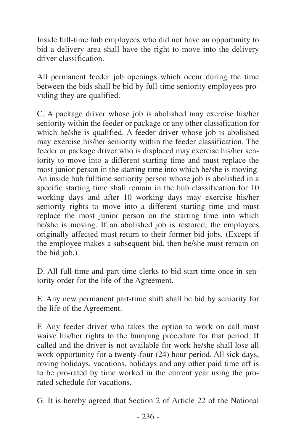Inside full-time hub employees who did not have an opportunity to bid a delivery area shall have the right to move into the delivery driver classification.

All permanent feeder job openings which occur during the time between the bids shall be bid by full-time seniority employees providing they are qualified.

C. A package driver whose job is abolished may exercise his/her seniority within the feeder or package or any other classification for which he/she is qualified. A feeder driver whose job is abolished may exercise his/her seniority within the feeder classification. The feeder or package driver who is displaced may exercise his/her seniority to move into a different starting time and must replace the most junior person in the starting time into which he/she is moving. An inside hub fulltime seniority person whose job is abolished in a specific starting time shall remain in the hub classification for 10 working days and after 10 working days may exercise his/her seniority rights to move into a different starting time and must replace the most junior person on the starting time into which he/she is moving. If an abolished job is restored, the employees originally affected must return to their former bid jobs. (Except if the employee makes a subsequent bid, then he/she must remain on the bid job.)

D. All full-time and part-time clerks to bid start time once in seniority order for the life of the Agreement.

E. Any new permanent part-time shift shall be bid by seniority for the life of the Agreement.

F. Any feeder driver who takes the option to work on call must waive his/her rights to the bumping procedure for that period. If called and the driver is not available for work he/she shall lose all work opportunity for a twenty-four (24) hour period. All sick days, roving holidays, vacations, holidays and any other paid time off is to be pro-rated by time worked in the current year using the prorated schedule for vacations.

G. It is hereby agreed that Section 2 of Article 22 of the National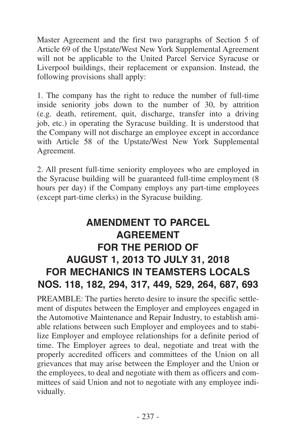<span id="page-60-0"></span>Master Agreement and the first two paragraphs of Section 5 of Article 69 of the Upstate/West New York Supplemental Agreement will not be applicable to the United Parcel Service Syracuse or Liverpool buildings, their replacement or expansion. Instead, the following provisions shall apply:

1. The company has the right to reduce the number of full-time inside seniority jobs down to the number of 30, by attrition (e.g. death, retirement, quit, discharge, transfer into a driving job, etc.) in operating the Syracuse building. It is understood that the Company will not discharge an employee except in accordance with Article 58 of the Upstate/West New York Supplemental Agreement.

2. All present full-time seniority employees who are employed in the Syracuse building will be guaranteed full-time employment (8 hours per day) if the Company employs any part-time employees (except part-time clerks) in the Syracuse building.

# **AMENDMENT TO PARCEL AGREEMENT FOR THE PERIOD OF AUGUST 1, 2013 TO JULY 31, 2018 FOR MECHANICS IN TEAMSTERS LOCALS NOS. 118, 182, 294, 317, 449, 529, 264, 687, 693**

PREAMBLE: The parties hereto desire to insure the specific settlement of disputes between the Employer and employees engaged in the Automotive Maintenance and Repair Industry, to establish amiable relations between such Employer and employees and to stabilize Employer and employee relationships for a definite period of time. The Employer agrees to deal, negotiate and treat with the properly accredited officers and committees of the Union on all grievances that may arise between the Employer and the Union or the employees, to deal and negotiate with them as officers and committees of said Union and not to negotiate with any employee individually.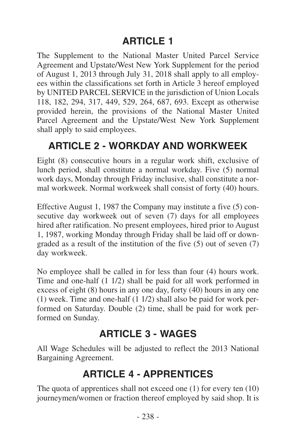# **ARTICLE 1**

<span id="page-61-0"></span>The Supplement to the National Master United Parcel Service Agreement and Upstate/West New York Supplement for the period of August 1, 2013 through July 31, 2018 shall apply to all employees within the classifications set forth in Article 3 hereof employed by UNITED PARCEL SERVICE in the jurisdiction of Union Locals 118, 182, 294, 317, 449, 529, 264, 687, 693. Except as otherwise provided herein, the provisions of the National Master United Parcel Agreement and the Upstate/West New York Supplement shall apply to said employees.

# **ARTICLE 2 - WORKDAY AND WORKWEEK**

Eight (8) consecutive hours in a regular work shift, exclusive of lunch period, shall constitute a normal workday. Five (5) normal work days, Monday through Friday inclusive, shall constitute a normal workweek. Normal workweek shall consist of forty (40) hours.

Effective August 1, 1987 the Company may institute a five (5) consecutive day workweek out of seven (7) days for all employees hired after ratification. No present employees, hired prior to August 1, 1987, working Monday through Friday shall be laid off or downgraded as a result of the institution of the five (5) out of seven (7) day workweek.

No employee shall be called in for less than four (4) hours work. Time and one-half (1 1/2) shall be paid for all work performed in excess of eight (8) hours in any one day, forty (40) hours in any one (1) week. Time and one-half (1 1/2) shall also be paid for work performed on Saturday. Double (2) time, shall be paid for work performed on Sunday.

## **ARTICLE 3 - WAGES**

All Wage Schedules will be adjusted to reflect the 2013 National Bargaining Agreement.

# **ARTICLE 4 - APPRENTICES**

The quota of apprentices shall not exceed one (1) for every ten (10) journeymen/women or fraction thereof employed by said shop. It is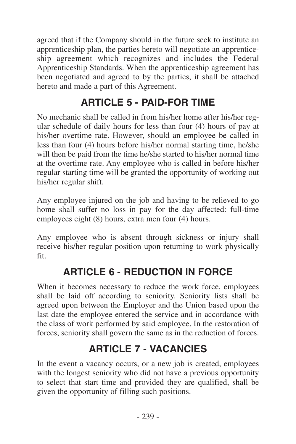<span id="page-62-0"></span>agreed that if the Company should in the future seek to institute an apprenticeship plan, the parties hereto will negotiate an apprenticeship agreement which recognizes and includes the Federal Apprenticeship Standards. When the apprenticeship agreement has been negotiated and agreed to by the parties, it shall be attached hereto and made a part of this Agreement.

# **ARTICLE 5 - PAID-FOR TIME**

No mechanic shall be called in from his/her home after his/her regular schedule of daily hours for less than four (4) hours of pay at his/her overtime rate. However, should an employee be called in less than four (4) hours before his/her normal starting time, he/she will then be paid from the time he/she started to his/her normal time at the overtime rate. Any employee who is called in before his/her regular starting time will be granted the opportunity of working out his/her regular shift.

Any employee injured on the job and having to be relieved to go home shall suffer no loss in pay for the day affected: full-time employees eight (8) hours, extra men four (4) hours.

Any employee who is absent through sickness or injury shall receive his/her regular position upon returning to work physically fit.

# **ARTICLE 6 - REDUCTION IN FORCE**

When it becomes necessary to reduce the work force, employees shall be laid off according to seniority. Seniority lists shall be agreed upon between the Employer and the Union based upon the last date the employee entered the service and in accordance with the class of work performed by said employee. In the restoration of forces, seniority shall govern the same as in the reduction of forces.

# **ARTICLE 7 - VACANCIES**

In the event a vacancy occurs, or a new job is created, employees with the longest seniority who did not have a previous opportunity to select that start time and provided they are qualified, shall be given the opportunity of filling such positions.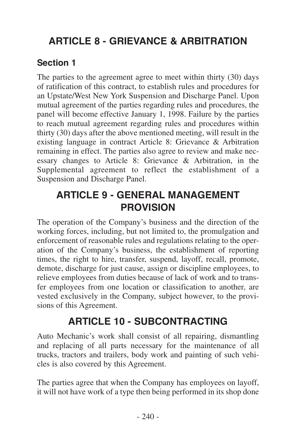# <span id="page-63-0"></span>**ARTICLE 8 - GRIEVANCE & ARBITRATION**

#### **Section 1**

The parties to the agreement agree to meet within thirty (30) days of ratification of this contract, to establish rules and procedures for an Upstate/West New York Suspension and Discharge Panel. Upon mutual agreement of the parties regarding rules and procedures, the panel will become effective January 1, 1998. Failure by the parties to reach mutual agreement regarding rules and procedures within thirty (30) days after the above mentioned meeting, will result in the existing language in contract Article 8: Grievance & Arbitration remaining in effect. The parties also agree to review and make necessary changes to Article 8: Grievance & Arbitration, in the Supplemental agreement to reflect the establishment of a Suspension and Discharge Panel.

## **ARTICLE 9 - GENERAL MANAGEMENT PROVISION**

The operation of the Company's business and the direction of the working forces, including, but not limited to, the promulgation and enforcement of reasonable rules and regulations relating to the operation of the Company's business, the establishment of reporting times, the right to hire, transfer, suspend, layoff, recall, promote, demote, discharge for just cause, assign or discipline employees, to relieve employees from duties because of lack of work and to transfer employees from one location or classification to another, are vested exclusively in the Company, subject however, to the provisions of this Agreement.

# **ARTICLE 10 - SUBCONTRACTING**

Auto Mechanic's work shall consist of all repairing, dismantling and replacing of all parts necessary for the maintenance of all trucks, tractors and trailers, body work and painting of such vehicles is also covered by this Agreement.

The parties agree that when the Company has employees on layoff, it will not have work of a type then being performed in its shop done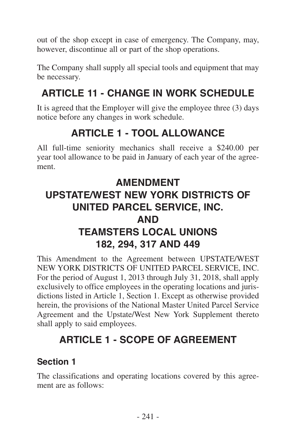<span id="page-64-0"></span>out of the shop except in case of emergency. The Company, may, however, discontinue all or part of the shop operations.

The Company shall supply all special tools and equipment that may be necessary.

# **ARTICLE 11 - CHANGE IN WORK SCHEDULE**

It is agreed that the Employer will give the employee three (3) days notice before any changes in work schedule.

# **ARTICLE 1 - TOOL ALLOWANCE**

All full-time seniority mechanics shall receive a \$240.00 per year tool allowance to be paid in January of each year of the agreement.

# **AMENDMENT UPSTATE/WEST NEW YORK DISTRICTS OF UNITED PARCEL SERVICE, INC. AND TEAMSTERS LOCAL UNIONS 182, 294, 317 AND 449**

This Amendment to the Agreement between UPSTATE/WEST NEW YORK DISTRICTS OF UNITED PARCEL SERVICE, INC. For the period of August 1, 2013 through July 31, 2018, shall apply exclusively to office employees in the operating locations and jurisdictions listed in Article 1, Section 1. Except as otherwise provided herein, the provisions of the National Master United Parcel Service Agreement and the Upstate/West New York Supplement thereto shall apply to said employees.

# **ARTICLE 1 - SCOPE OF AGREEMENT**

#### **Section 1**

The classifications and operating locations covered by this agreement are as follows: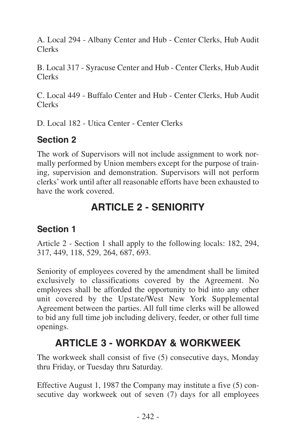<span id="page-65-0"></span>A. Local 294 - Albany Center and Hub - Center Clerks, Hub Audit Clerks

B. Local 317 - Syracuse Center and Hub - Center Clerks, Hub Audit Clerks

C. Local 449 - Buffalo Center and Hub - Center Clerks, Hub Audit Clerks

D. Local 182 - Utica Center - Center Clerks

#### **Section 2**

The work of Supervisors will not include assignment to work normally performed by Union members except for the purpose of training, supervision and demonstration. Supervisors will not perform clerks' work until after all reasonable efforts have been exhausted to have the work covered.

# **ARTICLE 2 - SENIORITY**

## **Section 1**

Article 2 - Section 1 shall apply to the following locals: 182, 294, 317, 449, 118, 529, 264, 687, 693.

Seniority of employees covered by the amendment shall be limited exclusively to classifications covered by the Agreement. No employees shall be afforded the opportunity to bid into any other unit covered by the Upstate/West New York Supplemental Agreement between the parties. All full time clerks will be allowed to bid any full time job including delivery, feeder, or other full time openings.

# **ARTICLE 3 - WORKDAY & WORKWEEK**

The workweek shall consist of five (5) consecutive days, Monday thru Friday, or Tuesday thru Saturday.

Effective August 1, 1987 the Company may institute a five (5) consecutive day workweek out of seven (7) days for all employees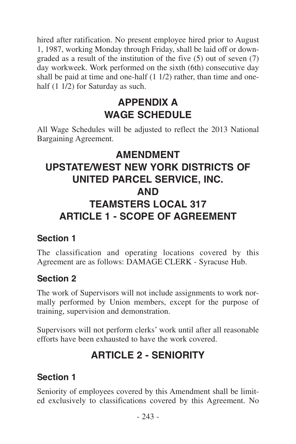<span id="page-66-0"></span>hired after ratification. No present employee hired prior to August 1, 1987, working Monday through Friday, shall be laid off or downgraded as a result of the institution of the five (5) out of seven (7) day workweek. Work performed on the sixth (6th) consecutive day shall be paid at time and one-half (1 1/2) rather, than time and onehalf  $(1 1/2)$  for Saturday as such.

# **APPENDIX A WAGE SCHEDULE**

All Wage Schedules will be adjusted to reflect the 2013 National Bargaining Agreement.

# **AMENDMENT UPSTATE/WEST NEW YORK DISTRICTS OF UNITED PARCEL SERVICE, INC. AND TEAMSTERS LOCAL 317 ARTICLE 1 - SCOPE OF AGREEMENT**

#### **Section 1**

The classification and operating locations covered by this Agreement are as follows: DAMAGE CLERK - Syracuse Hub.

#### **Section 2**

The work of Supervisors will not include assignments to work normally performed by Union members, except for the purpose of training, supervision and demonstration.

Supervisors will not perform clerks' work until after all reasonable efforts have been exhausted to have the work covered.

# **ARTICLE 2 - SENIORITY**

## **Section 1**

Seniority of employees covered by this Amendment shall be limited exclusively to classifications covered by this Agreement. No